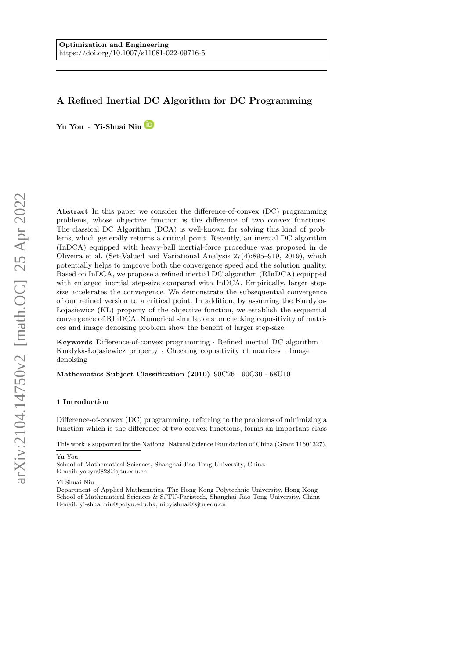# A Refined Inertial DC Algorithm for DC Programming

Yu You · Yi-Shuai Niu

Abstract In this paper we consider the difference-of-convex (DC) programming problems, whose objective function is the difference of two convex functions. The classical DC Algorithm (DCA) is well-known for solving this kind of problems, which generally returns a critical point. Recently, an inertial DC algorithm (InDCA) equipped with heavy-ball inertial-force procedure was proposed in de Oliveira et al. (Set-Valued and Variational Analysis 27(4):895–919, 2019), which potentially helps to improve both the convergence speed and the solution quality. Based on InDCA, we propose a refined inertial DC algorithm (RInDCA) equipped with enlarged inertial step-size compared with InDCA. Empirically, larger stepsize accelerates the convergence. We demonstrate the subsequential convergence of our refined version to a critical point. In addition, by assuming the Kurdyka- Lojasiewicz (KL) property of the objective function, we establish the sequential convergence of RInDCA. Numerical simulations on checking copositivity of matrices and image denoising problem show the benefit of larger step-size.

Keywords Difference-of-convex programming · Refined inertial DC algorithm · Kurdyka-Lojasiewicz property  $\cdot$  Checking copositivity of matrices  $\cdot$  Image denoising

Mathematics Subject Classification (2010) 90C26 · 90C30 · 68U10

### 1 Introduction

Difference-of-convex (DC) programming, referring to the problems of minimizing a function which is the difference of two convex functions, forms an important class

Yu You

School of Mathematical Sciences, Shanghai Jiao Tong University, China E-mail: youyu0828@sjtu.edu.cn

Yi-Shuai Niu

Department of Applied Mathematics, The Hong Kong Polytechnic University, Hong Kong School of Mathematical Sciences & SJTU-Paristech, Shanghai Jiao Tong University, China E-mail: yi-shuai.niu@polyu.edu.hk, niuyishuai@sjtu.edu.cn

This work is supported by the National Natural Science Foundation of China (Grant 11601327).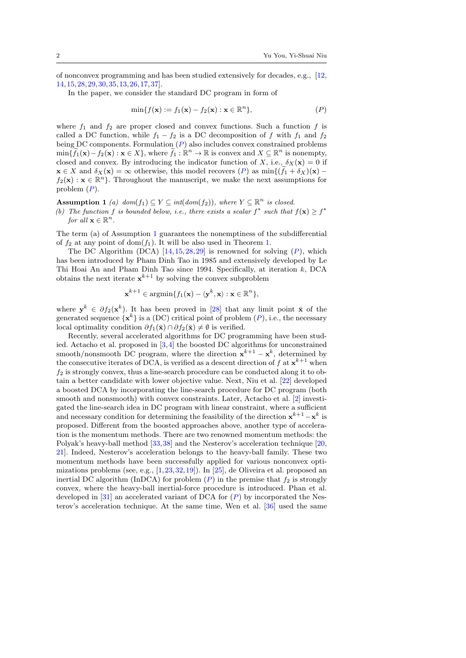of nonconvex programming and has been studied extensively for decades, e.g., [\[12,](#page-22-0) [14,](#page-22-1)[15,](#page-22-2)[28,](#page-23-0)[29,](#page-23-1)[30,](#page-23-2)[35,](#page-23-3)[13,](#page-22-3)[26,](#page-23-4)[17,](#page-23-5)[37\]](#page-23-6).

In the paper, we consider the standard DC program in form of

<span id="page-1-0"></span>
$$
\min\{f(\mathbf{x}) := f_1(\mathbf{x}) - f_2(\mathbf{x}) : \mathbf{x} \in \mathbb{R}^n\},\tag{P}
$$

where  $f_1$  and  $f_2$  are proper closed and convex functions. Such a function f is called a DC function, while  $f_1 - f_2$  is a DC decomposition of f with  $f_1$  and  $f_2$ being DC components. Formulation  $(P)$  $(P)$  $(P)$  also includes convex constrained problems  $\min\{\widetilde{f}_1(\mathbf{x}) - f_2(\mathbf{x}) : \mathbf{x} \in X\}$ , where  $\widetilde{f}_1 : \mathbb{R}^n \to \mathbb{R}$  is convex and  $X \subseteq \mathbb{R}^n$  is nonempty, closed and convex. By introducing the indicator function of X, i.e.,  $\delta_X(\mathbf{x}) = 0$  if  $\mathbf{x} \in X$  and  $\delta_X(\mathbf{x}) = \infty$  otherwise, this model recovers  $(P)$  $(P)$  $(P)$  as  $\min\{(\hat{f}_1 + \delta_X)(\mathbf{x})$  $f_2(\mathbf{x}): \mathbf{x} \in \mathbb{R}^n$ . Throughout the manuscript, we make the next assumptions for problem  $(P)$  $(P)$  $(P)$ .

<span id="page-1-1"></span>**Assumption 1** (a)  $dom(f_1) \subseteq Y \subseteq int(dom(f_2))$ , where  $Y \subseteq \mathbb{R}^n$  is closed. (b) The function f is bounded below, i.e., there exists a scalar  $f^*$  such that  $f(\mathbf{x}) \geq f^*$ for all  $\mathbf{x} \in \mathbb{R}^n$ .

The term (a) of Assumption [1](#page-1-1) guarantees the nonemptiness of the subdifferential of  $f_2$  at any point of dom $(f_1)$ . It will be also used in Theorem [1.](#page-8-0)

The DC Algorithm (DCA)  $[14, 15, 28, 29]$  $[14, 15, 28, 29]$  $[14, 15, 28, 29]$  $[14, 15, 28, 29]$  $[14, 15, 28, 29]$  $[14, 15, 28, 29]$  $[14, 15, 28, 29]$  is renowned for solving  $(P)$  $(P)$  $(P)$ , which has been introduced by Pham Dinh Tao in 1985 and extensively developed by Le Thi Hoai An and Pham Dinh Tao since 1994. Specifically, at iteration k, DCA obtains the next iterate  $x^{k+1}$  by solving the convex subproblem

$$
\mathbf{x}^{k+1} \in \operatorname{argmin} \{ f_1(\mathbf{x}) - \langle \mathbf{y}^k, \mathbf{x} \rangle : \mathbf{x} \in \mathbb{R}^n \},
$$

where  $y^k \in \partial f_2(x^k)$ . It has been proved in [\[28\]](#page-23-0) that any limit point  $\bar{x}$  of the generated sequence  $\{x^k\}$  is a (DC) critical point of problem  $(P)$  $(P)$  $(P)$ , i.e., the necessary local optimality condition  $\partial f_1(\bar{\mathbf{x}}) \cap \partial f_2(\bar{\mathbf{x}}) \neq \emptyset$  is verified.

Recently, several accelerated algorithms for DC programming have been studied. Actacho et al. proposed in [\[3,](#page-22-4)[4\]](#page-22-5) the boosted DC algorithms for unconstrained smooth/nonsmooth DC program, where the direction  $\mathbf{x}^{k+1} - \mathbf{x}^k$ , determined by the consecutive iterates of DCA, is verified as a descent direction of  $f$  at  $\mathbf{x}^{k+1}$  when  $f_2$  is strongly convex, thus a line-search procedure can be conducted along it to obtain a better candidate with lower objective value. Next, Niu et al. [\[22\]](#page-23-7) developed a boosted DCA by incorporating the line-search procedure for DC program (both smooth and nonsmooth) with convex constraints. Later, Actacho et al. [\[2\]](#page-22-6) investigated the line-search idea in DC program with linear constraint, where a sufficient and necessary condition for determining the feasibility of the direction  $x^{k+1} - x^k$  is proposed. Different from the boosted approaches above, another type of acceleration is the momentum methods. There are two renowned momentum methods: the Polyak's heavy-ball method [\[33,](#page-23-8)[38\]](#page-23-9) and the Nesterov's acceleration technique [\[20,](#page-23-10) [21\]](#page-23-11). Indeed, Nesterov's acceleration belongs to the heavy-ball family. These two momentum methods have been successfully applied for various nonconvex optimizations problems (see, e.g., [\[1,](#page-22-7)[23,](#page-23-12)[32,](#page-23-13)[19\]](#page-23-14)). In [\[25\]](#page-23-15), de Oliveira et al. proposed an inertial DC algorithm (InDCA) for problem  $(P)$  $(P)$  $(P)$  in the premise that  $f_2$  is strongly convex, where the heavy-ball inertial-force procedure is introduced. Phan et al. developed in [\[31\]](#page-23-16) an accelerated variant of DCA for  $(P)$  $(P)$  $(P)$  by incorporated the Nesterov's acceleration technique. At the same time, Wen et al. [\[36\]](#page-23-17) used the same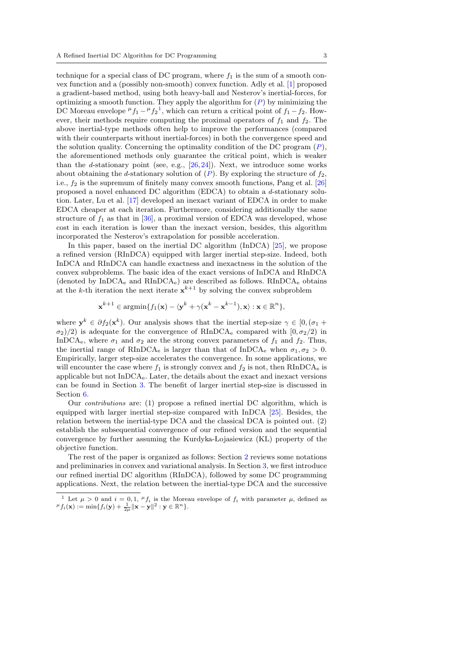technique for a special class of DC program, where  $f_1$  is the sum of a smooth convex function and a (possibly non-smooth) convex function. Adly et al. [\[1\]](#page-22-7) proposed a gradient-based method, using both heavy-ball and Nesterov's inertial-forces, for optimizing a smooth function. They apply the algorithm for  $(P)$  $(P)$  $(P)$  by minimizing the DC Moreau envelope  ${}^{\mu}f_1 - {}^{\mu}f_2^1$  ${}^{\mu}f_1 - {}^{\mu}f_2^1$  ${}^{\mu}f_1 - {}^{\mu}f_2^1$ , which can return a critical point of  $f_1 - f_2$ . However, their methods require computing the proximal operators of  $f_1$  and  $f_2$ . The above inertial-type methods often help to improve the performances (compared with their counterparts without inertial-forces) in both the convergence speed and the solution quality. Concerning the optimality condition of the DC program  $(P)$  $(P)$  $(P)$ , the aforementioned methods only guarantee the critical point, which is weaker than the *d*-stationary point (see, e.g.,  $[26, 24]$  $[26, 24]$  $[26, 24]$ ). Next, we introduce some works about obtaining the d-stationary solution of  $(P)$  $(P)$  $(P)$ . By exploring the structure of  $f_2$ , i.e.,  $f_2$  is the supremum of finitely many convex smooth functions, Pang et al.  $[26]$ proposed a novel enhanced DC algorithm (EDCA) to obtain a d-stationary solution. Later, Lu et al. [\[17\]](#page-23-5) developed an inexact variant of EDCA in order to make EDCA cheaper at each iteration. Furthermore, considering additionally the same structure of  $f_1$  as that in [\[36\]](#page-23-17), a proximal version of EDCA was developed, whose cost in each iteration is lower than the inexact version, besides, this algorithm incorporated the Nesterov's extrapolation for possible acceleration.

In this paper, based on the inertial DC algorithm (InDCA) [\[25\]](#page-23-15), we propose a refined version (RInDCA) equipped with larger inertial step-size. Indeed, both InDCA and RInDCA can handle exactness and inexactness in the solution of the convex subproblems. The basic idea of the exact versions of InDCA and RInDCA (denoted by InDCA<sub>e</sub> and RInDCA<sub>e</sub>) are described as follows. RInDCA<sub>e</sub> obtains at the k-th iteration the next iterate  $x^{k+1}$  by solving the convex subproblem

$$
\mathbf{x}^{k+1} \in \operatorname{argmin} \{ f_1(\mathbf{x}) - \langle \mathbf{y}^k + \gamma(\mathbf{x}^k - \mathbf{x}^{k-1}), \mathbf{x} \rangle : \mathbf{x} \in \mathbb{R}^n \},
$$

where  $y^k \in \partial f_2(x^k)$ . Our analysis shows that the inertial step-size  $\gamma \in [0, (\sigma_1 +$  $\sigma_2/2$  is adequate for the convergence of RInDCA<sub>e</sub> compared with  $[0, \sigma_2/2)$  in InDCA<sub>e</sub>, where  $\sigma_1$  and  $\sigma_2$  are the strong convex parameters of  $f_1$  and  $f_2$ . Thus, the inertial range of RInDCA<sub>e</sub> is larger than that of InDCA<sub>e</sub> when  $\sigma_1, \sigma_2 > 0$ . Empirically, larger step-size accelerates the convergence. In some applications, we will encounter the case where  $f_1$  is strongly convex and  $f_2$  is not, then  $RInDCA<sub>e</sub>$  is applicable but not InDCAe. Later, the details about the exact and inexact versions can be found in Section [3.](#page-5-0) The benefit of larger inertial step-size is discussed in Section [6.](#page-16-0)

Our contributions are: (1) propose a refined inertial DC algorithm, which is equipped with larger inertial step-size compared with InDCA [\[25\]](#page-23-15). Besides, the relation between the inertial-type DCA and the classical DCA is pointed out. (2) establish the subsequential convergence of our refined version and the sequential convergence by further assuming the Kurdyka- Lojasiewicz (KL) property of the objective function.

The rest of the paper is organized as follows: Section [2](#page-3-0) reviews some notations and preliminaries in convex and variational analysis. In Section [3,](#page-5-0) we first introduce our refined inertial DC algorithm (RInDCA), followed by some DC programming applications. Next, the relation between the inertial-type DCA and the successive

<span id="page-2-0"></span><sup>&</sup>lt;sup>1</sup> Let  $\mu > 0$  and  $i = 0, 1, \,^{\mu}f_i$  is the Moreau envelope of  $f_i$  with parameter  $\mu$ , defined as  $^{\mu}f_i(\mathbf{x}):=\min\{f_i(\mathbf{y})+\frac{1}{2\mu}\|\mathbf{x}-\mathbf{y}\|^2:\mathbf{y}\in\mathbb{R}^n\}.$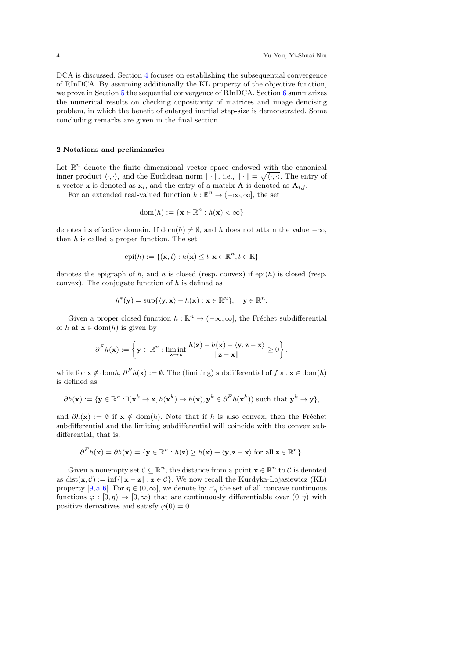DCA is discussed. Section [4](#page-8-1) focuses on establishing the subsequential convergence of RInDCA. By assuming additionally the KL property of the objective function, we prove in Section [5](#page-12-0) the sequential convergence of RInDCA. Section [6](#page-16-0) summarizes the numerical results on checking copositivity of matrices and image denoising problem, in which the benefit of enlarged inertial step-size is demonstrated. Some concluding remarks are given in the final section.

### <span id="page-3-0"></span>2 Notations and preliminaries

Let  $\mathbb{R}^n$  denote the finite dimensional vector space endowed with the canonical inner product  $\langle \cdot, \cdot \rangle$ , and the Euclidean norm  $\|\cdot\|$ , i.e.,  $\|\cdot\| = \sqrt{\langle \cdot, \cdot \rangle}$ . The entry of a vector **x** is denoted as  $\mathbf{x}_i$ , and the entry of a matrix **A** is denoted as  $\mathbf{A}_{i,j}$ .

For an extended real-valued function  $h : \mathbb{R}^n \to (-\infty, \infty]$ , the set

$$
\text{dom}(h) := \{ \mathbf{x} \in \mathbb{R}^n : h(\mathbf{x}) < \infty \}
$$

denotes its effective domain. If dom(h)  $\neq \emptyset$ , and h does not attain the value  $-\infty$ , then  $h$  is called a proper function. The set

$$
epi(h) := \{(\mathbf{x}, t) : h(\mathbf{x}) \le t, \mathbf{x} \in \mathbb{R}^n, t \in \mathbb{R}\}\
$$

denotes the epigraph of h, and h is closed (resp. convex) if  $epi(h)$  is closed (resp. convex). The conjugate function of  $h$  is defined as

$$
h^*(\mathbf{y}) = \sup\{\langle \mathbf{y}, \mathbf{x}\rangle - h(\mathbf{x}) : \mathbf{x} \in \mathbb{R}^n\}, \quad \mathbf{y} \in \mathbb{R}^n.
$$

Given a proper closed function  $h : \mathbb{R}^n \to (-\infty, \infty]$ , the Fréchet subdifferential of h at  $\mathbf{x} \in \text{dom}(h)$  is given by

$$
\partial^F h(\mathbf{x}) := \left\{ \mathbf{y} \in \mathbb{R}^n : \liminf_{\mathbf{z} \to \mathbf{x}} \frac{h(\mathbf{z}) - h(\mathbf{x}) - \langle \mathbf{y}, \mathbf{z} - \mathbf{x} \rangle}{\|\mathbf{z} - \mathbf{x}\|} \ge 0 \right\},\
$$

while for  $\mathbf{x} \notin \text{dom}h, \partial^F h(\mathbf{x}) := \emptyset$ . The (limiting) subdifferential of f at  $\mathbf{x} \in \text{dom}(h)$ is defined as

$$
\partial h(\mathbf{x}) := \{ \mathbf{y} \in \mathbb{R}^n : \exists (\mathbf{x}^k \to \mathbf{x}, h(\mathbf{x}^k) \to h(\mathbf{x}), \mathbf{y}^k \in \partial^F h(\mathbf{x}^k)) \text{ such that } \mathbf{y}^k \to \mathbf{y} \},
$$

and  $\partial h(\mathbf{x}) := \emptyset$  if  $\mathbf{x} \notin \text{dom}(h)$ . Note that if h is also convex, then the Fréchet subdifferential and the limiting subdifferential will coincide with the convex subdifferential, that is,

$$
\partial^F h(\mathbf{x}) = \partial h(\mathbf{x}) = \{ \mathbf{y} \in \mathbb{R}^n : h(\mathbf{z}) \ge h(\mathbf{x}) + \langle \mathbf{y}, \mathbf{z} - \mathbf{x} \rangle \text{ for all } \mathbf{z} \in \mathbb{R}^n \}.
$$

Given a nonempty set  $C \subseteq \mathbb{R}^n$ , the distance from a point  $\mathbf{x} \in \mathbb{R}^n$  to C is denoted as dist( $\mathbf{x}, \mathcal{C}$ ) := inf{ $\|\mathbf{x} - \mathbf{z}\|$  :  $\mathbf{z} \in \mathcal{C}$ }. We now recall the Kurdyka-Lojasiewicz (KL) property [\[9,](#page-22-8)[5,](#page-22-9)[6\]](#page-22-10). For  $\eta \in (0,\infty]$ , we denote by  $\mathcal{Z}_{\eta}$  the set of all concave continuous functions  $\varphi : [0, \eta) \to [0, \infty)$  that are continuously differentiable over  $(0, \eta)$  with positive derivatives and satisfy  $\varphi(0) = 0$ .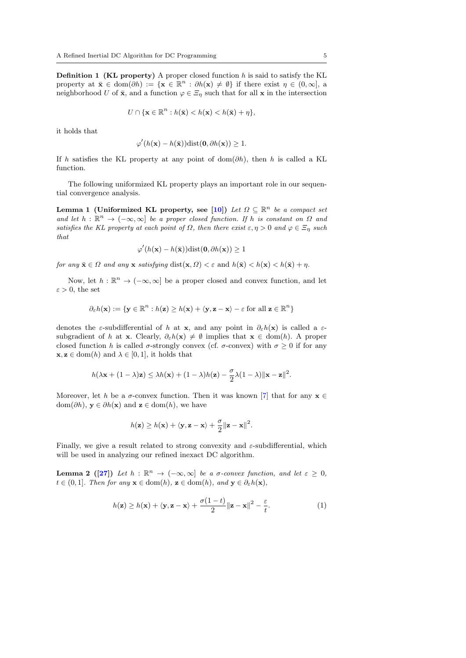**Definition 1 (KL property)** A proper closed function  $h$  is said to satisfy the KL property at  $\bar{\mathbf{x}} \in \text{dom}(\partial h) := {\mathbf{x} \in \mathbb{R}^n : \partial h(\mathbf{x}) \neq \emptyset}$  if there exist  $\eta \in (0, \infty],$  a neighborhood U of  $\bar{\mathbf{x}}$ , and a function  $\varphi \in \mathcal{Z}_\eta$  such that for all  $\mathbf{x}$  in the intersection

$$
U \cap \{\mathbf{x} \in \mathbb{R}^n : h(\bar{\mathbf{x}}) < h(\mathbf{x}) < h(\bar{\mathbf{x}}) + \eta\},
$$

it holds that

$$
\varphi'(h(\mathbf{x}) - h(\bar{\mathbf{x}}))\text{dist}(\mathbf{0}, \partial h(\mathbf{x})) \ge 1.
$$

If h satisfies the KL property at any point of dom( $\partial h$ ), then h is called a KL function.

The following uniformized KL property plays an important role in our sequential convergence analysis.

Lemma 1 (Uniformized KL property, see [\[10\]](#page-22-11)) Let  $\Omega \subseteq \mathbb{R}^n$  be a compact set and let  $h : \mathbb{R}^n \to (-\infty, \infty]$  be a proper closed function. If h is constant on  $\Omega$  and satisfies the KL property at each point of  $\Omega$ , then there exist  $\varepsilon, \eta > 0$  and  $\varphi \in \Xi_n$  such that

$$
\varphi'(h(\mathbf{x}) - h(\bar{\mathbf{x}}))\text{dist}(\mathbf{0}, \partial h(\mathbf{x})) \ge 1
$$

for any  $\bar{\mathbf{x}} \in \Omega$  and any  $\mathbf{x}$  satisfying  $dist(\mathbf{x}, \Omega) < \varepsilon$  and  $h(\bar{\mathbf{x}}) < h(\mathbf{x}) < h(\bar{\mathbf{x}}) + \eta$ .

Now, let  $h : \mathbb{R}^n \to (-\infty, \infty]$  be a proper closed and convex function, and let  $\varepsilon > 0$ , the set

$$
\partial_{\varepsilon}h(\mathbf{x}) := \{ \mathbf{y} \in \mathbb{R}^n : h(\mathbf{z}) \ge h(\mathbf{x}) + \langle \mathbf{y}, \mathbf{z} - \mathbf{x} \rangle - \varepsilon \text{ for all } \mathbf{z} \in \mathbb{R}^n \}
$$

denotes the  $\varepsilon$ -subdifferential of h at x, and any point in  $\partial_{\varepsilon}h(x)$  is called a  $\varepsilon$ subgradient of h at x. Clearly,  $\partial_{\varepsilon}h(x) \neq \emptyset$  implies that  $x \in \text{dom}(h)$ . A proper closed function h is called  $\sigma$ -strongly convex (cf.  $\sigma$ -convex) with  $\sigma \geq 0$  if for any  $\mathbf{x}, \mathbf{z} \in \text{dom}(h)$  and  $\lambda \in [0, 1]$ , it holds that

$$
h(\lambda \mathbf{x} + (1 - \lambda)\mathbf{z}) \leq \lambda h(\mathbf{x}) + (1 - \lambda)h(\mathbf{z}) - \frac{\sigma}{2}\lambda(1 - \lambda) \|\mathbf{x} - \mathbf{z}\|^2.
$$

Moreover, let h be a  $\sigma$ -convex function. Then it was known [\[7\]](#page-22-12) that for any  $\mathbf{x} \in \mathbb{R}$ dom( $\partial h$ ),  $y \in \partial h(x)$  and  $z \in \text{dom}(h)$ , we have

$$
h(\mathbf{z}) \ge h(\mathbf{x}) + \langle \mathbf{y}, \mathbf{z} - \mathbf{x} \rangle + \frac{\sigma}{2} ||\mathbf{z} - \mathbf{x}||^2.
$$

Finally, we give a result related to strong convexity and  $\varepsilon$ -subdifferential, which will be used in analyzing our refined inexact DC algorithm.

**Lemma 2** ([\[27\]](#page-23-19)) Let  $h : \mathbb{R}^n \to (-\infty, \infty]$  be a  $\sigma$ -convex function, and let  $\varepsilon \geq 0$ ,  $t \in (0,1]$ . Then for any  $\mathbf{x} \in \text{dom}(h)$ ,  $\mathbf{z} \in \text{dom}(h)$ , and  $\mathbf{y} \in \partial_{\varepsilon}h(\mathbf{x})$ ,

<span id="page-4-0"></span>
$$
h(\mathbf{z}) \ge h(\mathbf{x}) + \langle \mathbf{y}, \mathbf{z} - \mathbf{x} \rangle + \frac{\sigma(1-t)}{2} ||\mathbf{z} - \mathbf{x}||^2 - \frac{\varepsilon}{t}.
$$
 (1)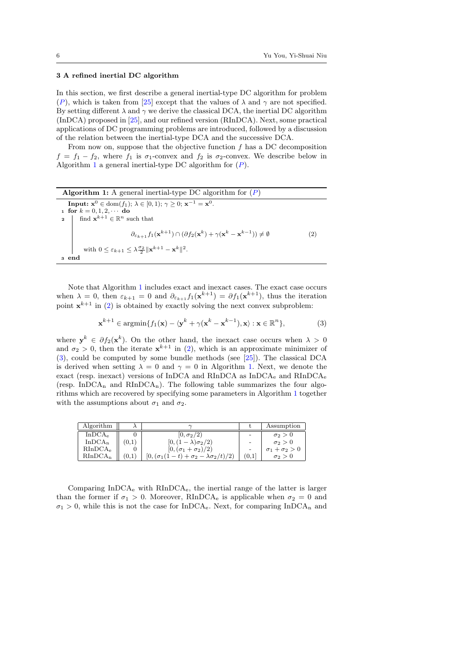## <span id="page-5-0"></span>3 A refined inertial DC algorithm

In this section, we first describe a general inertial-type DC algorithm for problem ([P](#page-1-0)), which is taken from [\[25\]](#page-23-15) except that the values of  $\lambda$  and  $\gamma$  are not specified. By setting different  $\lambda$  and  $\gamma$  we derive the classical DCA, the inertial DC algorithm (InDCA) proposed in [\[25\]](#page-23-15), and our refined version (RInDCA). Next, some practical applications of DC programming problems are introduced, followed by a discussion of the relation between the inertial-type DCA and the successive DCA.

From now on, suppose that the objective function  $f$  has a DC decomposition  $f = f_1 - f_2$ , where  $f_1$  is  $\sigma_1$ -convex and  $f_2$  is  $\sigma_2$ -convex. We describe below in Algorithm [1](#page-5-1) a general inertial-type DC algorithm for  $(P)$  $(P)$  $(P)$ .

<span id="page-5-2"></span><span id="page-5-1"></span>Algorithm 1: A general inertial-type DC algorithm for  $(P)$  $(P)$  $(P)$ **Input:**  $x^0 \in dom(f_1); \ \lambda \in [0, 1); \ \gamma \ge 0; \ x^{-1} = x^0.$ 1 for  $k = 0, 1, 2, \cdots$  do 2 | find  $\mathbf{x}^{k+1} \in \mathbb{R}^n$  such that  $\partial_{\varepsilon_{k+1}} f_1(\mathbf{x}^{k+1}) \cap (\partial f_2(\mathbf{x}^k) + \gamma(\mathbf{x}^k - \mathbf{x}^{k-1})) \neq \emptyset$ (2) with  $0 \leq \varepsilon_{k+1} \leq \lambda \frac{\sigma_2}{2} ||\mathbf{x}^{k+1} - \mathbf{x}^k||^2$ . <sup>3</sup> end

Note that Algorithm [1](#page-5-1) includes exact and inexact cases. The exact case occurs when  $\lambda = 0$ , then  $\varepsilon_{k+1} = 0$  and  $\partial_{\varepsilon_{k+1}} f_1(\mathbf{x}^{k+1}) = \partial f_1(\mathbf{x}^{k+1})$ , thus the iteration point  $x^{k+1}$  in [\(2\)](#page-5-2) is obtained by exactly solving the next convex subproblem:

<span id="page-5-3"></span>
$$
\mathbf{x}^{k+1} \in \operatorname{argmin} \{ f_1(\mathbf{x}) - \langle \mathbf{y}^k + \gamma (\mathbf{x}^k - \mathbf{x}^{k-1}), \mathbf{x} \rangle : \mathbf{x} \in \mathbb{R}^n \},\tag{3}
$$

where  $y^k \in \partial f_2(x^k)$ . On the other hand, the inexact case occurs when  $\lambda > 0$ and  $\sigma_2 > 0$ , then the iterate  $x^{k+1}$  in [\(2\)](#page-5-2), which is an approximate minimizer of [\(3\)](#page-5-3), could be computed by some bundle methods (see [\[25\]](#page-23-15)). The classical DCA is derived when setting  $\lambda = 0$  and  $\gamma = 0$  in Algorithm [1.](#page-5-1) Next, we denote the exact (resp. inexact) versions of InDCA and RInDCA as InDCA<sup>e</sup> and RInDCA<sup>e</sup> (resp. InDCA<sub>n</sub> and RInDCA<sub>n</sub>). The following table summarizes the four algorithms which are recovered by specifying some parameters in Algorithm [1](#page-5-1) together with the assumptions about  $\sigma_1$  and  $\sigma_2$ .

| Algorithm           |                                                     |       | Assumption                |
|---------------------|-----------------------------------------------------|-------|---------------------------|
| InDCA <sub>e</sub>  | $ 0,\sigma_2/2\rangle$                              |       | $\sigma_2 > 0$            |
| $In DCA_n$          | $[0,(1-\lambda)\sigma_2/2)$                         |       | $\sigma_2 > 0$            |
| RInDCA <sub>e</sub> | $[0, (\sigma_1 + \sigma_2)/2)$                      |       | $\sigma_1 + \sigma_2 > 0$ |
| $RInDCA_n$          | $[0, (\sigma_1(1-t)+\sigma_2-\lambda\sigma_2/t)/2)$ | (0,1] | $\sigma_2 > 0$            |

Comparing InDCA<sup>e</sup> with RInDCAe, the inertial range of the latter is larger than the former if  $\sigma_1 > 0$ . Moreover, RInDCA<sub>e</sub> is applicable when  $\sigma_2 = 0$  and  $\sigma_1 > 0$ , while this is not the case for InDCA<sub>e</sub>. Next, for comparing InDCA<sub>n</sub> and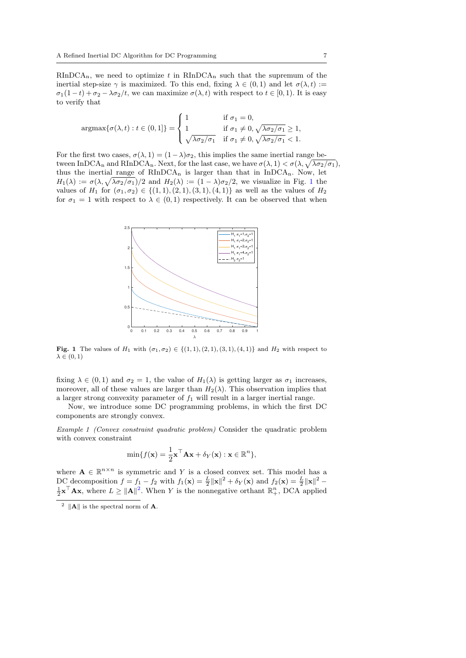$RInDCA_n$ , we need to optimize t in  $RInDCA_n$  such that the supremum of the inertial step-size  $\gamma$  is maximized. To this end, fixing  $\lambda \in (0,1)$  and let  $\sigma(\lambda, t) :=$  $\sigma_1(1-t)+\sigma_2-\lambda\sigma_2/t$ , we can maximize  $\sigma(\lambda, t)$  with respect to  $t \in [0, 1)$ . It is easy to verify that

$$
\operatorname{argmax}\{\sigma(\lambda, t) : t \in (0, 1]\} = \begin{cases} 1 & \text{if } \sigma_1 = 0, \\ 1 & \text{if } \sigma_1 \neq 0, \sqrt{\lambda \sigma_2/\sigma_1} \geq 1, \\ \sqrt{\lambda \sigma_2/\sigma_1} & \text{if } \sigma_1 \neq 0, \sqrt{\lambda \sigma_2/\sigma_1} < 1. \end{cases}
$$

For the first two cases,  $\sigma(\lambda, 1) = (1 - \lambda)\sigma_2$ , this implies the same inertial range between InDCA<sub>n</sub> and RInDCA<sub>n</sub>. Next, for the last case, we have  $\sigma(\lambda, 1) < \sigma(\lambda, \sqrt{\lambda \sigma_2/\sigma_1})$ , thus the inertial range of  $RInDCA_n$  is larger than that in  $InDCA_n$ . Now, let  $H_1(\lambda) := \sigma(\lambda, \sqrt{\lambda \sigma_2/\sigma_1})/2$  $H_1(\lambda) := \sigma(\lambda, \sqrt{\lambda \sigma_2/\sigma_1})/2$  $H_1(\lambda) := \sigma(\lambda, \sqrt{\lambda \sigma_2/\sigma_1})/2$  and  $H_2(\lambda) := (1 - \lambda)\sigma_2/2$ , we visualize in Fig. 1 the values of  $H_1$  for  $(\sigma_1, \sigma_2) \in \{(1, 1), (2, 1), (3, 1), (4, 1)\}\$ as well as the values of  $H_2$ for  $\sigma_1 = 1$  with respect to  $\lambda \in (0,1)$  respectively. It can be observed that when



<span id="page-6-0"></span>**Fig. 1** The values of  $H_1$  with  $(\sigma_1, \sigma_2) \in \{(1, 1), (2, 1), (3, 1), (4, 1)\}$  and  $H_2$  with respect to  $\lambda \in (0,1)$ 

fixing  $\lambda \in (0,1)$  and  $\sigma_2 = 1$ , the value of  $H_1(\lambda)$  is getting larger as  $\sigma_1$  increases, moreover, all of these values are larger than  $H_2(\lambda)$ . This observation implies that a larger strong convexity parameter of  $f_1$  will result in a larger inertial range.

Now, we introduce some DC programming problems, in which the first DC components are strongly convex.

Example 1 (Convex constraint quadratic problem) Consider the quadratic problem with convex constraint

<span id="page-6-2"></span>
$$
\min\{f(\mathbf{x}) = \frac{1}{2}\mathbf{x}^\top \mathbf{A}\mathbf{x} + \delta_Y(\mathbf{x}) : \mathbf{x} \in \mathbb{R}^n\},\
$$

where  $\mathbf{A} \in \mathbb{R}^{n \times n}$  is symmetric and Y is a closed convex set. This model has a DC decomposition  $f = f_1 - f_2$  with  $f_1(\mathbf{x}) = \frac{L}{2} ||\mathbf{x}||^2 + \delta_Y(\mathbf{x})$  and  $f_2(\mathbf{x}) = \frac{L}{2} ||\mathbf{x}||^2 \frac{1}{2} \mathbf{x}^{\top} \mathbf{A} \mathbf{x}$  $\frac{1}{2} \mathbf{x}^{\top} \mathbf{A} \mathbf{x}$  $\frac{1}{2} \mathbf{x}^{\top} \mathbf{A} \mathbf{x}$ , where  $L \geq ||\mathbf{A}||^2$ . When Y is the nonnegative orthant  $\mathbb{R}^n_+$ , DCA applied

<span id="page-6-1"></span><sup>&</sup>lt;sup>2</sup>  $\|\mathbf{A}\|$  is the spectral norm of **A**.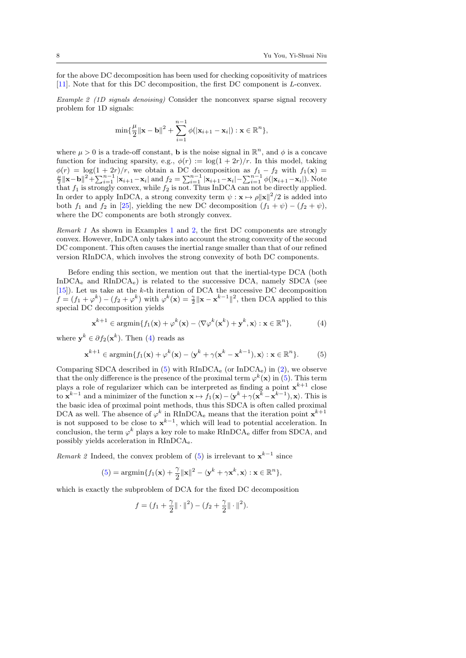for the above DC decomposition has been used for checking copositivity of matrices [\[11\]](#page-22-13). Note that for this DC decomposition, the first DC component is L-convex.

<span id="page-7-0"></span>Example 2 (1D signals denoising) Consider the nonconvex sparse signal recovery problem for 1D signals:

$$
\min{\{\frac{\mu}{2}\|\mathbf{x}-\mathbf{b}\|^2+\sum_{i=1}^{n-1}\phi(|\mathbf{x}_{i+1}-\mathbf{x}_i|):\mathbf{x}\in\mathbb{R}^n\}},
$$

where  $\mu > 0$  is a trade-off constant, **b** is the noise signal in  $\mathbb{R}^n$ , and  $\phi$  is a concave function for inducing sparsity, e.g.,  $\phi(r) := \log(1 + 2r)/r$ . In this model, taking  $\phi(r) = \log(1+2r)/r$ , we obtain a DC decomposition as  $f_1 - f_2$  with  $f_1(\mathbf{x}) = \frac{\mu}{2} ||\mathbf{x}-\mathbf{b}||^2 + \sum_{i=1}^{n-1} |\mathbf{x}_{i+1}-\mathbf{x}_i|$  and  $f_2 = \sum_{i=1}^{n-1} |\mathbf{x}_{i+1}-\mathbf{x}_i| - \sum_{i=1}^{n-1} \phi(|\mathbf{x}_{i+1}-\mathbf{x}_i|)$ . Note that  $f_1$  is strongly convex, while  $f_2$  is not. Thus InDCA can not be directly applied. In order to apply InDCA, a strong convexity term  $\psi : \mathbf{x} \mapsto \rho ||\mathbf{x}||^2 / 2$  is added into both  $f_1$  and  $f_2$  in [\[25\]](#page-23-15), yielding the new DC decomposition  $(f_1 + \psi) - (f_2 + \psi)$ , where the DC components are both strongly convex.

Remark 1 As shown in Examples [1](#page-6-2) and [2,](#page-7-0) the first DC components are strongly convex. However, InDCA only takes into account the strong convexity of the second DC component. This often causes the inertial range smaller than that of our refined version RInDCA, which involves the strong convexity of both DC components.

Before ending this section, we mention out that the inertial-type DCA (both InDCA<sup>e</sup> and RInDCAe) is related to the successive DCA, namely SDCA (see [\[15\]](#page-22-2)). Let us take at the k-th iteration of DCA the successive DC decomposition  $f = (f_1 + \varphi^k) - (f_2 + \varphi^k)$  with  $\varphi^k(\mathbf{x}) = \frac{\gamma}{2} ||\mathbf{x} - \mathbf{x}^{k-1}||^2$ , then DCA applied to this special DC decomposition yields

<span id="page-7-1"></span>
$$
\mathbf{x}^{k+1} \in \operatorname{argmin} \{ f_1(\mathbf{x}) + \varphi^k(\mathbf{x}) - \langle \nabla \varphi^k(\mathbf{x}^k) + \mathbf{y}^k, \mathbf{x} \rangle : \mathbf{x} \in \mathbb{R}^n \},\tag{4}
$$

where  $y^k \in \partial f_2(x^k)$ . Then [\(4\)](#page-7-1) reads as

<span id="page-7-2"></span>
$$
\mathbf{x}^{k+1} \in \operatorname{argmin} \{ f_1(\mathbf{x}) + \varphi^k(\mathbf{x}) - \langle \mathbf{y}^k + \gamma(\mathbf{x}^k - \mathbf{x}^{k-1}), \mathbf{x} \rangle : \mathbf{x} \in \mathbb{R}^n \}. \tag{5}
$$

Comparing SDCA described in  $(5)$  with RInDCA<sub>e</sub> (or InDCA<sub>e</sub>) in  $(2)$ , we observe that the only difference is the presence of the proximal term  $\varphi^k(\mathbf{x})$  in [\(5\)](#page-7-2). This term plays a role of regularizer which can be interpreted as finding a point  $x^{k+1}$  close to  $\mathbf{x}^{k-1}$  and a minimizer of the function  $\mathbf{x} \mapsto f_1(\mathbf{x}) - \langle \mathbf{y}^k + \gamma(\mathbf{x}^k - \mathbf{x}^{k-1}), \mathbf{x} \rangle$ . This is the basic idea of proximal point methods, thus this SDCA is often called proximal DCA as well. The absence of  $\varphi^k$  in RInDCA<sub>e</sub> means that the iteration point  $\mathbf{x}^{k+1}$ is not supposed to be close to  $x^{k-1}$ , which will lead to potential acceleration. In conclusion, the term  $\varphi^k$  plays a key role to make RInDCA<sub>e</sub> differ from SDCA, and possibly yields acceleration in RInDCAe.

*Remark* 2 Indeed, the convex problem of [\(5\)](#page-7-2) is irrelevant to  $x^{k-1}$  since

$$
(5) = \operatorname{argmin} \{ f_1(\mathbf{x}) + \frac{\gamma}{2} ||\mathbf{x}||^2 - \langle \mathbf{y}^k + \gamma \mathbf{x}^k, \mathbf{x} \rangle : \mathbf{x} \in \mathbb{R}^n \},
$$

which is exactly the subproblem of DCA for the fixed DC decomposition

$$
f = (f_1 + \frac{\gamma}{2} || \cdot ||^2) - (f_2 + \frac{\gamma}{2} || \cdot ||^2).
$$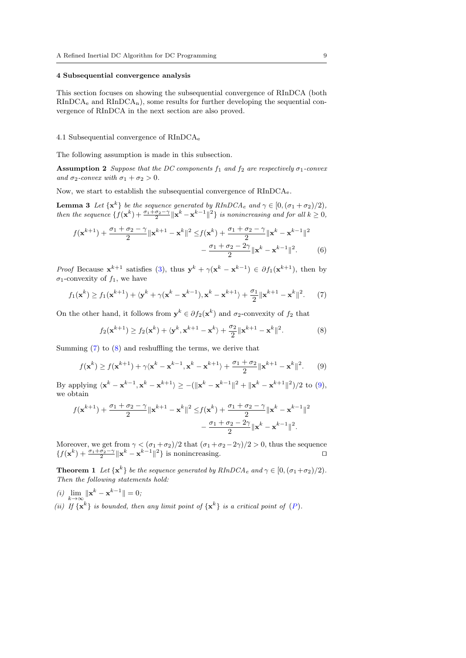### <span id="page-8-1"></span>4 Subsequential convergence analysis

This section focuses on showing the subsequential convergence of RInDCA (both  $RInDCA<sub>e</sub>$  and  $RInDCA<sub>n</sub>$ , some results for further developing the sequential convergence of RInDCA in the next section are also proved.

### 4.1 Subsequential convergence of RInDCA<sup>e</sup>

The following assumption is made in this subsection.

**Assumption 2** Suppose that the DC components  $f_1$  and  $f_2$  are respectively  $\sigma_1$ -convex and  $\sigma_2$ -convex with  $\sigma_1 + \sigma_2 > 0$ .

Now, we start to establish the subsequential convergence of RInDCAe.

**Lemma 3** Let  $\{x^k\}$  be the sequence generated by  $RInDCA_e$  and  $\gamma \in [0, (\sigma_1 + \sigma_2)/2)$ , then the sequence  $\{f(\mathbf{x}^k) + \frac{\sigma_1 + \sigma_2 - \gamma}{2} \|\mathbf{x}^k - \mathbf{x}^{k-1}\|^2\}$  is nonincreasing and for all  $k \geq 0$ ,

<span id="page-8-6"></span>
$$
f(\mathbf{x}^{k+1}) + \frac{\sigma_1 + \sigma_2 - \gamma}{2} \|\mathbf{x}^{k+1} - \mathbf{x}^k\|^2 \le f(\mathbf{x}^k) + \frac{\sigma_1 + \sigma_2 - \gamma}{2} \|\mathbf{x}^k - \mathbf{x}^{k-1}\|^2 - \frac{\sigma_1 + \sigma_2 - 2\gamma}{2} \|\mathbf{x}^k - \mathbf{x}^{k-1}\|^2. \tag{6}
$$

*Proof* Because  $\mathbf{x}^{k+1}$  satisfies [\(3\)](#page-5-3), thus  $\mathbf{y}^k + \gamma(\mathbf{x}^k - \mathbf{x}^{k-1}) \in \partial f_1(\mathbf{x}^{k+1})$ , then by  $\sigma_1$ -convexity of  $f_1$ , we have

<span id="page-8-2"></span>
$$
f_1(\mathbf{x}^k) \ge f_1(\mathbf{x}^{k+1}) + \langle \mathbf{y}^k + \gamma(\mathbf{x}^k - \mathbf{x}^{k-1}), \mathbf{x}^k - \mathbf{x}^{k+1} \rangle + \frac{\sigma_1}{2} {\| \mathbf{x}^{k+1} - \mathbf{x}^k \|^2}.
$$
 (7)

On the other hand, it follows from  $y^k \in \partial f_2(x^k)$  and  $\sigma_2$ -convexity of  $f_2$  that

<span id="page-8-5"></span><span id="page-8-3"></span>
$$
f_2(\mathbf{x}^{k+1}) \ge f_2(\mathbf{x}^k) + \langle \mathbf{y}^k, \mathbf{x}^{k+1} - \mathbf{x}^k \rangle + \frac{\sigma_2}{2} \|\mathbf{x}^{k+1} - \mathbf{x}^k\|^2.
$$
 (8)

Summing [\(7\)](#page-8-2) to [\(8\)](#page-8-3) and reshuffling the terms, we derive that

<span id="page-8-4"></span>
$$
f(\mathbf{x}^k) \ge f(\mathbf{x}^{k+1}) + \gamma \langle \mathbf{x}^k - \mathbf{x}^{k-1}, \mathbf{x}^k - \mathbf{x}^{k+1} \rangle + \frac{\sigma_1 + \sigma_2}{2} ||\mathbf{x}^{k+1} - \mathbf{x}^k||^2. \tag{9}
$$

By applying  $\langle \mathbf{x}^k - \mathbf{x}^{k-1}, \mathbf{x}^k - \mathbf{x}^{k+1} \rangle \ge -(\|\mathbf{x}^k - \mathbf{x}^{k-1}\|^2 + \|\mathbf{x}^k - \mathbf{x}^{k+1}\|^2)/2$  to [\(9\)](#page-8-4), we obtain

$$
f(\mathbf{x}^{k+1}) + \frac{\sigma_1 + \sigma_2 - \gamma}{2} \|\mathbf{x}^{k+1} - \mathbf{x}^k\|^2 \le f(\mathbf{x}^k) + \frac{\sigma_1 + \sigma_2 - \gamma}{2} \|\mathbf{x}^k - \mathbf{x}^{k-1}\|^2 - \frac{\sigma_1 + \sigma_2 - 2\gamma}{2} \|\mathbf{x}^k - \mathbf{x}^{k-1}\|^2.
$$

Moreover, we get from  $\gamma < (\sigma_1 + \sigma_2)/2$  that  $(\sigma_1 + \sigma_2 - 2\gamma)/2 > 0$ , thus the sequence  $\{f(\mathbf{x}^k) + \frac{\sigma_1 + \sigma_2 - \gamma}{2} \|\mathbf{x}^k - \mathbf{x}^{k-1}\|^2\}$  is nonincreasing.

<span id="page-8-0"></span>**Theorem 1** Let  $\{x^k\}$  be the sequence generated by  $RInDCA_e$  and  $\gamma \in [0, (\sigma_1 + \sigma_2)/2)$ . Then the following statements hold:

(*i*)  $\lim_{k \to \infty} ||\mathbf{x}^k - \mathbf{x}^{k-1}|| = 0;$ (ii) If  $\{\mathbf x^k\}$  is bounded, then any limit point of  $\{\mathbf x^k\}$  is a critical point of  $(P)$  $(P)$  $(P)$ .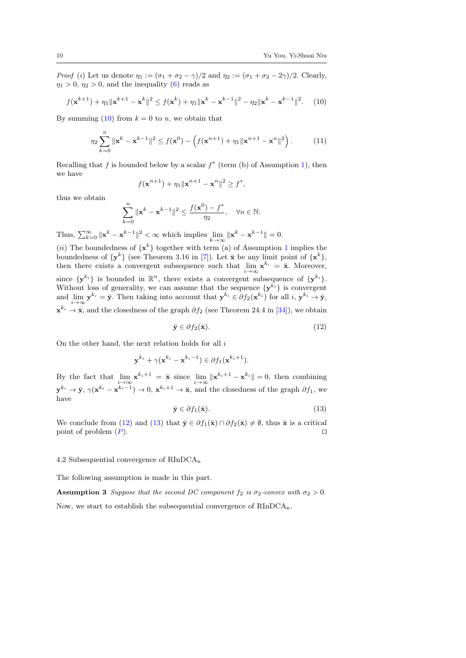*Proof* (i) Let us denote  $\eta_1 := (\sigma_1 + \sigma_2 - \gamma)/2$  and  $\eta_2 := (\sigma_1 + \sigma_2 - 2\gamma)/2$ . Clearly,  $\eta_1 > 0$ ,  $\eta_2 > 0$ , and the inequality [\(6\)](#page-8-5) reads as

<span id="page-9-0"></span>
$$
f(\mathbf{x}^{k+1}) + \eta_1 \|\mathbf{x}^{k+1} - \mathbf{x}^k\|^2 \le f(\mathbf{x}^k) + \eta_1 \|\mathbf{x}^k - \mathbf{x}^{k-1}\|^2 - \eta_2 \|\mathbf{x}^k - \mathbf{x}^{k-1}\|^2. \tag{10}
$$

By summing [\(10\)](#page-9-0) from  $k = 0$  to n, we obtain that

$$
\eta_2 \sum_{k=0}^n \|\mathbf{x}^k - \mathbf{x}^{k-1}\|^2 \le f(\mathbf{x}^0) - \left(f(\mathbf{x}^{n+1}) + \eta_1 \|\mathbf{x}^{n+1} - \mathbf{x}^n\|^2\right). \tag{11}
$$

Recalling that f is bounded below by a scalar  $f^*$  (term (b) of Assumption [1\)](#page-1-1), then we have

$$
f(\mathbf{x}^{n+1}) + \eta_1 ||\mathbf{x}^{n+1} - \mathbf{x}^n||^2 \ge f^*,
$$

thus we obtain

$$
\sum_{k=0}^{n} \|\mathbf{x}^{k} - \mathbf{x}^{k-1}\|^2 \le \frac{f(\mathbf{x}^0) - f^*}{\eta_2}, \quad \forall n \in \mathbb{N}.
$$

Thus,  $\sum_{k=0}^{\infty} ||\mathbf{x}^k - \mathbf{x}^{k-1}||^2 < \infty$  which implies  $\lim_{k \to \infty} ||\mathbf{x}^k - \mathbf{x}^{k-1}|| = 0$ .

(*ii*) The boundedness of  $\{x^k\}$  together with term (a) of Assumption [1](#page-1-1) implies the boundedness of  $\{y^k\}$  (see Theorem 3.16 in [\[7\]](#page-22-12)). Let  $\bar{x}$  be any limit point of  $\{x^k\}$ , then there exists a convergent subsequence such that  $\lim_{i \to \infty} \mathbf{x}^{k_i} = \bar{\mathbf{x}}$ . Moreover, since  $\{y^{k_i}\}\$ is bounded in  $\mathbb{R}^n$ , there exists a convergent subsequence of  $\{y^{k_i}\}\$ . Without loss of generality, we can assume that the sequence  $\{y^{k_i}\}\$ is convergent and  $\lim_{i\to\infty} y^{k_i} = \bar{y}$ . Then taking into account that  $y^{k_i} \in \partial f_2(\mathbf{x}^{k_i})$  for all  $i, y^{k_i} \to \bar{y}$ ,  $\mathbf{x}^{k_i} \to \bar{\mathbf{x}}$ , and the closedness of the graph  $\partial f_2$  (see Theorem 24.4 in [\[34\]](#page-23-20)), we obtain

<span id="page-9-1"></span>
$$
\bar{\mathbf{y}} \in \partial f_2(\bar{\mathbf{x}}). \tag{12}
$$

On the other hand, the next relation holds for all  $i$ 

$$
\mathbf{y}^{k_i} + \gamma(\mathbf{x}^{k_i} - \mathbf{x}^{k_i - 1}) \in \partial f_1(\mathbf{x}^{k_i + 1}).
$$

By the fact that  $\lim_{i \to \infty} \mathbf{x}^{k_i+1} = \bar{\mathbf{x}}$  since  $\lim_{i \to \infty} \|\mathbf{x}^{k_i+1} - \mathbf{x}^{k_i}\| = 0$ , then combining  ${\bf y}^{k_i} \to \bar{\bf y}, \gamma({\bf x}^{k_i}-{\bf x}^{k_i-1}) \to 0, {\bf x}^{k_i+1} \to \bar{\bf x},$  and the closedness of the graph  $\partial f_1$ , we have

<span id="page-9-2"></span>
$$
\bar{\mathbf{y}} \in \partial f_1(\bar{\mathbf{x}}). \tag{13}
$$

We conclude from [\(12\)](#page-9-1) and [\(13\)](#page-9-2) that  $\bar{y} \in \partial f_1(\bar{x}) \cap \partial f_2(\bar{x}) \neq \emptyset$ , thus  $\bar{x}$  is a critical point of problem  $(P)$  $(P)$  $(P)$ .

#### 4.2 Subsequential convergence of RInDCA<sup>n</sup>

The following assumption is made in this part.

<span id="page-9-3"></span>**Assumption 3** Suppose that the second DC component  $f_2$  is  $\sigma_2$ -convex with  $\sigma_2 > 0$ . Now, we start to establish the subsequential convergence of  $RInDCA_n$ .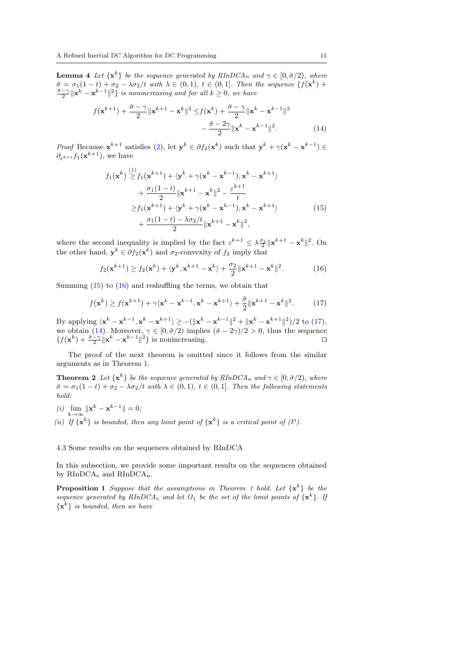**Lemma 4** Let  $\{x^k\}$  be the sequence generated by  $RInDCA_n$  and  $\gamma \in [0, \bar{\sigma}/2)$ , where  $\bar{\sigma} = \sigma_1(1-t) + \sigma_2 - \lambda \sigma_2/t$  with  $\lambda \in (0,1)$ ,  $t \in (0,1]$ . Then the sequence  $\{f(\mathbf{x}^k) + \frac{\bar{\sigma}-\gamma}{2} ||\mathbf{x}^k - \mathbf{x}^{k-1}||^2\}$  is nonincreasing and for all  $k \geq 0$ , we have

$$
f(\mathbf{x}^{k+1}) + \frac{\bar{\sigma} - \gamma}{2} \|\mathbf{x}^{k+1} - \mathbf{x}^k\|^2 \le f(\mathbf{x}^k) + \frac{\bar{\sigma} - \gamma}{2} \|\mathbf{x}^k - \mathbf{x}^{k-1}\|^2 - \frac{\bar{\sigma} - 2\gamma}{2} \|\mathbf{x}^k - \mathbf{x}^{k-1}\|^2.
$$
 (14)

*Proof* Because  $\mathbf{x}^{k+1}$  satisfies [\(2\)](#page-5-2), let  $\mathbf{y}^k \in \partial f_2(\mathbf{x}^k)$  such that  $\mathbf{y}^k + \gamma(\mathbf{x}^k - \mathbf{x}^{k-1}) \in$  $\partial_{\varepsilon^{k+1}} f_1(\mathbf{x}^{k+1}),$  we have

<span id="page-10-3"></span><span id="page-10-0"></span>
$$
f_1(\mathbf{x}^k) \stackrel{(1)}{\geq} f_1(\mathbf{x}^{k+1}) + \langle \mathbf{y}^k + \gamma(\mathbf{x}^k - \mathbf{x}^{k-1}), \mathbf{x}^k - \mathbf{x}^{k+1} \rangle
$$
  
+ 
$$
\frac{\sigma_1(1-t)}{2} \|\mathbf{x}^{k+1} - \mathbf{x}^k\|^2 - \frac{\varepsilon^{k+1}}{t}
$$
  

$$
\geq f_1(\mathbf{x}^{k+1}) + \langle \mathbf{y}^k + \gamma(\mathbf{x}^k - \mathbf{x}^{k-1}), \mathbf{x}^k - \mathbf{x}^{k+1} \rangle
$$
  
+ 
$$
\frac{\sigma_1(1-t) - \lambda \sigma_2 / t}{2} \|\mathbf{x}^{k+1} - \mathbf{x}^k\|^2,
$$
 (15)

where the second inequality is implied by the fact  $\varepsilon^{k+1} \leq \lambda \frac{\sigma_2}{2} ||\mathbf{x}^{k+1} - \mathbf{x}^k||^2$ . On the other hand,  $y^k \in \partial f_2(x^k)$  and  $\sigma_2$ -convexity of  $f_2$  imply that

<span id="page-10-1"></span>
$$
f_2(\mathbf{x}^{k+1}) \ge f_2(\mathbf{x}^k) + \langle \mathbf{y}^k, \mathbf{x}^{k+1} - \mathbf{x}^k \rangle + \frac{\sigma_2}{2} \|\mathbf{x}^{k+1} - \mathbf{x}^k\|^2.
$$
 (16)

Summing [\(15\)](#page-10-0) to [\(16\)](#page-10-1) and reshuffling the terms, we obtain that

<span id="page-10-4"></span><span id="page-10-2"></span>
$$
f(\mathbf{x}^k) \ge f(\mathbf{x}^{k+1}) + \gamma \langle \mathbf{x}^k - \mathbf{x}^{k-1}, \mathbf{x}^k - \mathbf{x}^{k+1} \rangle + \frac{\bar{\sigma}}{2} \|\mathbf{x}^{k+1} - \mathbf{x}^k\|^2. \tag{17}
$$

By applying  $\langle \mathbf{x}^k - \mathbf{x}^{k-1}, \mathbf{x}^k - \mathbf{x}^{k+1} \rangle \ge -(\|\mathbf{x}^k - \mathbf{x}^{k-1}\|^2 + \|\mathbf{x}^k - \mathbf{x}^{k+1}\|^2)/2$  to [\(17\)](#page-10-2), we obtain [\(14\)](#page-10-3). Moreover,  $\gamma \in [0, \bar{\sigma}/2)$  implies  $(\bar{\sigma} - 2\gamma)/2 > 0$ , thus the sequence  ${f(\mathbf{x}^k) + \frac{\bar{\sigma} - \gamma}{2} \|\mathbf{x}^k - \mathbf{x}^{k-1}\|^2}$  is nonincreasing. □

The proof of the next theorem is omitted since it follows from the similar arguments as in Theorem [1.](#page-8-0)

**Theorem 2** Let  $\{x^k\}$  be the sequence generated by  $RInDCA_n$  and  $\gamma \in [0, \bar{\sigma}/2)$ , where  $\bar{\sigma} = \sigma_1(1-t) + \sigma_2 - \lambda \sigma_2/t$  with  $\lambda \in (0,1)$ ,  $t \in (0,1]$ . Then the following statements hold:

(*i*)  $\lim_{k \to \infty} ||\mathbf{x}^k - \mathbf{x}^{k-1}|| = 0;$ (ii) If  $\{x^k\}$  is bounded, then any limit point of  $\{x^k\}$  is a critical point of  $(P)$  $(P)$  $(P)$ .

### 4.3 Some results on the sequences obtained by RInDCA

In this subsection, we provide some important results on the sequences obtained by RInDCA<sub>e</sub> and RInDCA<sub>n</sub>.

**Proposition [1](#page-8-0)** Suppose that the assumptions in Theorem 1 hold. Let  $\{x^k\}$  be the sequence generated by  $RInDCA<sub>e</sub>$  and let  $\Omega_1$  be the set of the limit points of  $\{x^k\}$ . If  ${x^k}$  is bounded, then we have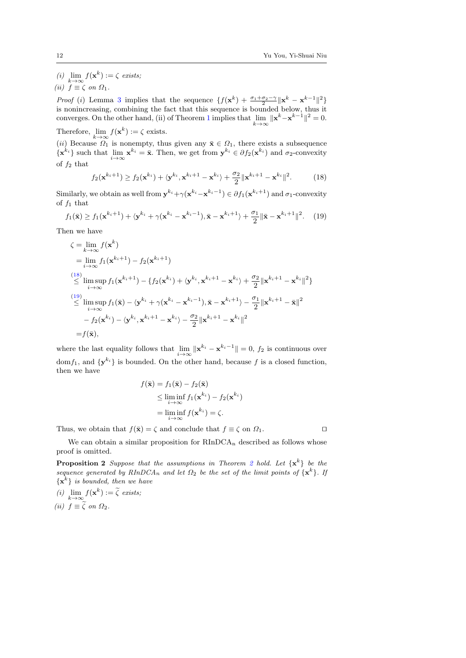(i)  $\lim_{k \to \infty} f(\mathbf{x}^k) := \zeta$  exists;

(*ii*)  $f \equiv \zeta$  on  $\Omega_1$ .

*Proof* (*i*) Lemma [3](#page-8-6) implies that the sequence  $\{f(\mathbf{x}^k) + \frac{\sigma_1 + \sigma_2 - \gamma}{2} || \mathbf{x}^k - \mathbf{x}^{k-1} ||^2\}$ is nonincreasing, combining the fact that this sequence is bounded below, thus it converges. On the other hand, (ii) of Theorem [1](#page-8-0) implies that  $\lim_{k\to\infty} ||\mathbf{x}^k - \mathbf{x}^{k-1}||^2 = 0$ .

Therefore,  $\lim_{k \to \infty} f(\mathbf{x}^k) := \zeta$  exists. (ii) Because  $\Omega_1$  is nonempty, thus given any  $\bar{\mathbf{x}} \in \Omega_1$ , there exists a subsequence  $\{\mathbf x^{k_i}\}\$  such that  $\lim_{i\to\infty}\mathbf x^{k_i}=\bar{\mathbf x}$ . Then, we get from  $\mathbf y^{k_i}\in\partial f_2(\mathbf x^{k_i})$  and  $\sigma_2$ -convexity of  $f_2$  that

<span id="page-11-0"></span>
$$
f_2(\mathbf{x}^{k_i+1}) \ge f_2(\mathbf{x}^{k_i}) + \langle \mathbf{y}^{k_i}, \mathbf{x}^{k_i+1} - \mathbf{x}^{k_i} \rangle + \frac{\sigma_2}{2} \|\mathbf{x}^{k_i+1} - \mathbf{x}^{k_i}\|^2. \tag{18}
$$

Similarly, we obtain as well from  $y^{k_i} + \gamma(x^{k_i} - x^{k_i-1}) \in \partial f_1(x^{k_i+1})$  and  $\sigma_1$ -convexity of  $f_1$  that

<span id="page-11-1"></span>
$$
f_1(\bar{\mathbf{x}}) \ge f_1(\mathbf{x}^{k_i+1}) + \langle \mathbf{y}^{k_i} + \gamma(\mathbf{x}^{k_i} - \mathbf{x}^{k_i-1}), \bar{\mathbf{x}} - \mathbf{x}^{k_i+1} \rangle + \frac{\sigma_1}{2} \|\bar{\mathbf{x}} - \mathbf{x}^{k_i+1}\|^2. \tag{19}
$$

Then we have

$$
\zeta = \lim_{k \to \infty} f(\mathbf{x}^{k})
$$
\n
$$
= \lim_{i \to \infty} f_1(\mathbf{x}^{k_i+1}) - f_2(\mathbf{x}^{k_i+1})
$$
\n
$$
\leq \limsup_{i \to \infty} f_1(\mathbf{x}^{k_i+1}) - \{f_2(\mathbf{x}^{k_i}) + \langle \mathbf{y}^{k_i}, \mathbf{x}^{k_i+1} - \mathbf{x}^{k_i} \rangle + \frac{\sigma_2}{2} ||\mathbf{x}^{k_i+1} - \mathbf{x}^{k_i}||^2 \}
$$
\n
$$
\leq \limsup_{i \to \infty} f_1(\bar{\mathbf{x}}) - \langle \mathbf{y}^{k_i} + \gamma(\mathbf{x}^{k_i} - \mathbf{x}^{k_i-1}), \bar{\mathbf{x}} - \mathbf{x}^{k_i+1} \rangle - \frac{\sigma_1}{2} ||\mathbf{x}^{k_i+1} - \bar{\mathbf{x}}||^2
$$
\n
$$
- f_2(\mathbf{x}^{k_i}) - \langle \mathbf{y}^{k_i}, \mathbf{x}^{k_i+1} - \mathbf{x}^{k_i} \rangle - \frac{\sigma_2}{2} ||\mathbf{x}^{k_i+1} - \mathbf{x}^{k_i}||^2
$$
\n
$$
= f(\bar{\mathbf{x}}),
$$

where the last equality follows that  $\lim_{i \to \infty} \|\mathbf{x}^{k_i} - \mathbf{x}^{k_i-1}\| = 0$ ,  $f_2$  is continuous over dom  $f_1$ , and  $\{y^{k_i}\}\$ is bounded. On the other hand, because f is a closed function, then we have

$$
f(\bar{\mathbf{x}}) = f_1(\bar{\mathbf{x}}) - f_2(\bar{\mathbf{x}})
$$
  
\n
$$
\leq \liminf_{i \to \infty} f_1(\mathbf{x}^{k_i}) - f_2(\mathbf{x}^{k_i})
$$
  
\n
$$
= \liminf_{i \to \infty} f(\mathbf{x}^{k_i}) = \zeta.
$$

Thus, we obtain that  $f(\bar{\mathbf{x}}) = \zeta$  and conclude that  $f \equiv \zeta$  on  $\Omega_1$ .

<span id="page-11-2"></span>We can obtain a similar proposition for  $RInDCA_n$  described as follows whose proof is omitted.

**Proposition [2](#page-10-4)** Suppose that the assumptions in Theorem 2 hold. Let  $\{x^k\}$  be the sequence generated by  $RInDCA_n$  and let  $\Omega_2$  be the set of the limit points of  $\{x^k\}$ . If  ${x^k}$  is bounded, then we have

(i)  $\lim_{k \to \infty} f(\mathbf{x}^k) := \tilde{\zeta}$  exists; (ii)  $f \equiv \zeta$  on  $\Omega_2$ .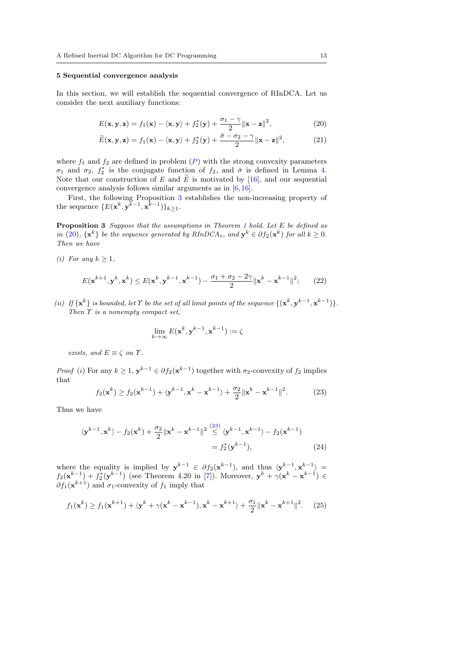#### <span id="page-12-0"></span>5 Sequential convergence analysis

In this section, we will establish the sequential convergence of RInDCA. Let us consider the next auxiliary functions:

<span id="page-12-2"></span>
$$
E(\mathbf{x}, \mathbf{y}, \mathbf{z}) = f_1(\mathbf{x}) - \langle \mathbf{x}, \mathbf{y} \rangle + f_2^*(\mathbf{y}) + \frac{\sigma_1 - \gamma}{2} ||\mathbf{x} - \mathbf{z}||^2,
$$
 (20)

$$
\widetilde{E}(\mathbf{x}, \mathbf{y}, \mathbf{z}) = f_1(\mathbf{x}) - \langle \mathbf{x}, \mathbf{y} \rangle + f_2^*(\mathbf{y}) + \frac{\bar{\sigma} - \sigma_2 - \gamma}{2} ||\mathbf{x} - \mathbf{z}||^2, \tag{21}
$$

where  $f_1$  and  $f_2$  are defined in problem  $(P)$  $(P)$  $(P)$  with the strong convexity parameters σ<sub>1</sub> and σ<sub>2</sub>,  $f_2^*$  is the conjugate function of  $f_2$ , and  $\bar{\sigma}$  is defined in Lemma [4.](#page-9-3) Note that our construction of E and  $\widetilde{E}$  is motivated by [\[16\]](#page-23-21), and our sequential convergence analysis follows similar arguments as in [\[6,](#page-22-10)[16\]](#page-23-21).

First, the following Proposition [3](#page-12-1) establishes the non-increasing property of the sequence  $\{E(\mathbf{x}^k, \mathbf{y}^{k-1}, \mathbf{x}^{k-1})\}_{k\geq 1}$ .

<span id="page-12-1"></span>Proposition 3 Suppose that the assumptions in Theorem [1](#page-8-0) hold. Let E be defined as in [\(20\)](#page-12-2),  $\{x^k\}$  be the sequence generated by  $RInDCA_e$ , and  $y^k \in \partial f_2(x^k)$  for all  $k \geq 0$ . Then we have

(i) For any  $k \geq 1$ ,

<span id="page-12-6"></span>
$$
E(\mathbf{x}^{k+1}, \mathbf{y}^k, \mathbf{x}^k) \le E(\mathbf{x}^k, \mathbf{y}^{k-1}, \mathbf{x}^{k-1}) - \frac{\sigma_1 + \sigma_2 - 2\gamma}{2} \|\mathbf{x}^k - \mathbf{x}^{k-1}\|^2; \qquad (22)
$$

(ii) If  $\{x^k\}$  is bounded, let  $\Upsilon$  be the set of all limit points of the sequence  $\{({x^k},{y^{k-1}},{x^{k-1}})\}$ . Then  $\Upsilon$  is a nonempty compact set,

<span id="page-12-5"></span>
$$
\lim_{k\to\infty} E(\mathbf{x}^k,\mathbf{y}^{k-1},\mathbf{x}^{k-1}) := \zeta
$$

exists, and  $E \equiv \zeta$  on  $\Upsilon$ .

*Proof* (*i*) For any  $k \geq 1$ ,  $y^{k-1} \in \partial f_2(x^{k-1})$  together with  $\sigma_2$ -convexity of  $f_2$  implies that

<span id="page-12-3"></span>
$$
f_2(\mathbf{x}^k) \ge f_2(\mathbf{x}^{k-1}) + \langle \mathbf{y}^{k-1}, \mathbf{x}^k - \mathbf{x}^{k-1} \rangle + \frac{\sigma_2}{2} \|\mathbf{x}^k - \mathbf{x}^{k-1}\|^2. \tag{23}
$$

Thus we have

$$
\langle \mathbf{y}^{k-1}, \mathbf{x}^k \rangle - f_2(\mathbf{x}^k) + \frac{\sigma_2}{2} {\| \mathbf{x}^k - \mathbf{x}^{k-1} \|^2} \stackrel{(23)}{\leq} \langle \mathbf{y}^{k-1}, \mathbf{x}^{k-1} \rangle - f_2(\mathbf{x}^{k-1})
$$

$$
= f_2^*(\mathbf{y}^{k-1}), \tag{24}
$$

where the equality is implied by  $y^{k-1} \in \partial f_2(x^{k-1})$ , and thus  $\langle y^{k-1}, x^{k-1} \rangle =$  $f_2(\mathbf{x}^{k-1}) + f_2^*(\mathbf{y}^{k-1})$  (see Theorem 4.20 in [\[7\]](#page-22-12)). Moreover,  $\mathbf{y}^k + \gamma(\mathbf{x}^k - \mathbf{x}^{k-1}) \in$  $\partial f_1(\mathbf{x}^{k+1})$  and  $\sigma_1$ -convexity of  $f_1$  imply that

<span id="page-12-4"></span>
$$
f_1(\mathbf{x}^k) \ge f_1(\mathbf{x}^{k+1}) + \langle \mathbf{y}^k + \gamma(\mathbf{x}^k - \mathbf{x}^{k-1}), \mathbf{x}^k - \mathbf{x}^{k+1} \rangle + \frac{\sigma_1}{2} \|\mathbf{x}^k - \mathbf{x}^{k+1}\|^2. \tag{25}
$$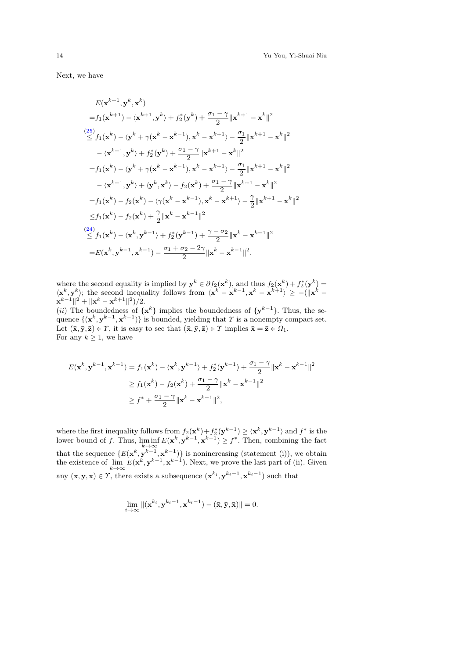Next, we have

$$
E(\mathbf{x}^{k+1}, \mathbf{y}^{k}, \mathbf{x}^{k})
$$
\n
$$
= f_{1}(\mathbf{x}^{k+1}) - \langle \mathbf{x}^{k+1}, \mathbf{y}^{k} \rangle + f_{2}^{*}(\mathbf{y}^{k}) + \frac{\sigma_{1} - \gamma}{2} ||\mathbf{x}^{k+1} - \mathbf{x}^{k}||^{2}
$$
\n
$$
\stackrel{(25)}{\leq} f_{1}(\mathbf{x}^{k}) - \langle \mathbf{y}^{k} + \gamma(\mathbf{x}^{k} - \mathbf{x}^{k-1}), \mathbf{x}^{k} - \mathbf{x}^{k+1} \rangle - \frac{\sigma_{1}}{2} ||\mathbf{x}^{k+1} - \mathbf{x}^{k}||^{2}
$$
\n
$$
- \langle \mathbf{x}^{k+1}, \mathbf{y}^{k} \rangle + f_{2}^{*}(\mathbf{y}^{k}) + \frac{\sigma_{1} - \gamma}{2} ||\mathbf{x}^{k+1} - \mathbf{x}^{k}||^{2}
$$
\n
$$
= f_{1}(\mathbf{x}^{k}) - \langle \mathbf{y}^{k} + \gamma(\mathbf{x}^{k} - \mathbf{x}^{k-1}), \mathbf{x}^{k} - \mathbf{x}^{k+1} \rangle - \frac{\sigma_{1}}{2} ||\mathbf{x}^{k+1} - \mathbf{x}^{k}||^{2}
$$
\n
$$
- \langle \mathbf{x}^{k+1}, \mathbf{y}^{k} \rangle + \langle \mathbf{y}^{k}, \mathbf{x}^{k} \rangle - f_{2}(\mathbf{x}^{k}) + \frac{\sigma_{1} - \gamma}{2} ||\mathbf{x}^{k+1} - \mathbf{x}^{k}||^{2}
$$
\n
$$
= f_{1}(\mathbf{x}^{k}) - f_{2}(\mathbf{x}^{k}) - \langle \gamma(\mathbf{x}^{k} - \mathbf{x}^{k-1}), \mathbf{x}^{k} - \mathbf{x}^{k+1} \rangle - \frac{\gamma}{2} ||\mathbf{x}^{k+1} - \mathbf{x}^{k}||^{2}
$$
\n
$$
\leq f_{1}(\mathbf{x}^{k}) - f_{2}(\mathbf{x}^{k}) + \frac{\gamma}{2} ||\mathbf{x}^{k} - \mathbf{x}^{k-1}||^{2}
$$
\n
$$
\stackrel{(24)}{\leq} f
$$

where the second equality is implied by  $y^k \in \partial f_2(x^k)$ , and thus  $f_2(x^k) + f_2^*(y^k) =$  $\langle \mathbf{x}^k, \mathbf{y}^k \rangle$ ; the second inequality follows from  $\langle \mathbf{x}^k - \mathbf{x}^{k-1}, \mathbf{x}^k - \mathbf{x}^{k+1} \rangle \ge -(\|\mathbf{x}^k - \mathbf{x}^k\|^2)$  $||\mathbf{x}^{k-1}||^2 + ||\mathbf{x}^k - \mathbf{x}^{k+1}||^2)/2.$ 

(*ii*) The boundedness of  $\{x^k\}$  implies the boundedness of  $\{y^{k-1}\}$ . Thus, the sequence  $\{(\mathbf{x}^k, \mathbf{y}^{k-1}, \mathbf{x}^{k-1})\}$  is bounded, yielding that T is a nonempty compact set. Let  $(\bar{\mathbf{x}}, \bar{\mathbf{y}}, \bar{\mathbf{z}}) \in \gamma$ , it is easy to see that  $(\bar{\mathbf{x}}, \bar{\mathbf{y}}, \bar{\mathbf{z}}) \in \gamma$  implies  $\bar{\mathbf{x}} = \bar{\mathbf{z}} \in \Omega_1$ . For any  $k \geq 1$ , we have

$$
E(\mathbf{x}^{k}, \mathbf{y}^{k-1}, \mathbf{x}^{k-1}) = f_1(\mathbf{x}^{k}) - \langle \mathbf{x}^{k}, \mathbf{y}^{k-1} \rangle + f_2^*(\mathbf{y}^{k-1}) + \frac{\sigma_1 - \gamma}{2} ||\mathbf{x}^{k} - \mathbf{x}^{k-1}||^2
$$
  
\n
$$
\geq f_1(\mathbf{x}^{k}) - f_2(\mathbf{x}^{k}) + \frac{\sigma_1 - \gamma}{2} ||\mathbf{x}^{k} - \mathbf{x}^{k-1}||^2
$$
  
\n
$$
\geq f^* + \frac{\sigma_1 - \gamma}{2} ||\mathbf{x}^{k} - \mathbf{x}^{k-1}||^2,
$$

where the first inequality follows from  $f_2(\mathbf{x}^k) + f_2^*(\mathbf{y}^{k-1}) \ge \langle \mathbf{x}^k, \mathbf{y}^{k-1} \rangle$  and  $f^*$  is the lower bound of f. Thus,  $\liminf E(\mathbf{x}^k, \mathbf{y}^{k-1}, \mathbf{x}^{k-1}) \geq f^*$ . Then, combining the fact  $k\rightarrow\infty$ that the sequence  $\{E(\mathbf{x}^k, \mathbf{y}^{k-1}, \mathbf{x}^{k-1})\}$  is nonincreasing (statement (i)), we obtain the existence of  $\lim_{k\to\infty} E(\mathbf{x}^k, \mathbf{y}^{k-1}, \mathbf{x}^{k-1})$ . Next, we prove the last part of (ii). Given any  $(\bar{\mathbf{x}}, \bar{\mathbf{y}}, \bar{\mathbf{x}}) \in \Upsilon$ , there exists a subsequence  $(\mathbf{x}^{k_i}, \mathbf{y}^{k_i-1}, \mathbf{x}^{k_i-1})$  such that

$$
\lim_{i \to \infty} \|(\mathbf{x}^{k_i}, \mathbf{y}^{k_i-1}, \mathbf{x}^{k_i-1}) - (\bar{\mathbf{x}}, \bar{\mathbf{y}}, \bar{\mathbf{x}})\| = 0.
$$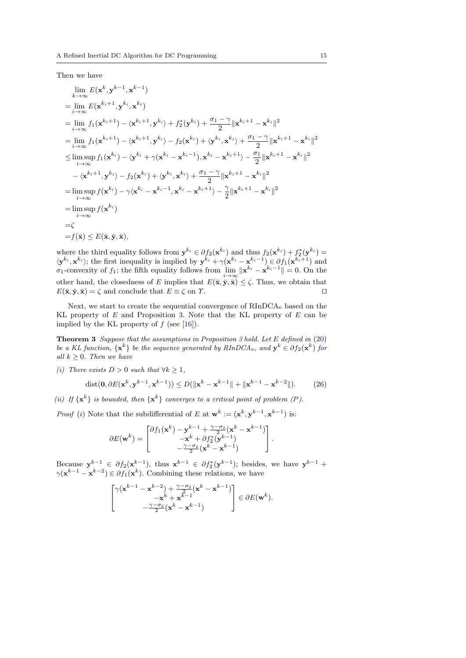Then we have

$$
\lim_{k \to \infty} E(\mathbf{x}^{k}, \mathbf{y}^{k-1}, \mathbf{x}^{k-1})
$$
\n
$$
= \lim_{i \to \infty} E(\mathbf{x}^{k_i+1}, \mathbf{y}^{k_i}, \mathbf{x}^{k_i})
$$
\n
$$
= \lim_{i \to \infty} f_1(\mathbf{x}^{k_i+1}) - \langle \mathbf{x}^{k_i+1}, \mathbf{y}^{k_i} \rangle + f_2^*(\mathbf{y}^{k_i}) + \frac{\sigma_1 - \gamma}{2} ||\mathbf{x}^{k_i+1} - \mathbf{x}^{k_i}||^2
$$
\n
$$
= \lim_{i \to \infty} f_1(\mathbf{x}^{k_i+1}) - \langle \mathbf{x}^{k_i+1}, \mathbf{y}^{k_i} \rangle - f_2(\mathbf{x}^{k_i}) + \langle \mathbf{y}^{k_i}, \mathbf{x}^{k_i} \rangle + \frac{\sigma_1 - \gamma}{2} ||\mathbf{x}^{k_i+1} - \mathbf{x}^{k_i}||^2
$$
\n
$$
\leq \limsup_{i \to \infty} f_1(\mathbf{x}^{k_i}) - \langle \mathbf{y}^{k_i} + \gamma(\mathbf{x}^{k_i} - \mathbf{x}^{k_i-1}), \mathbf{x}^{k_i} - \mathbf{x}^{k_i+1} \rangle - \frac{\sigma_1}{2} ||\mathbf{x}^{k_i+1} - \mathbf{x}^{k_i}||^2
$$
\n
$$
- \langle \mathbf{x}^{k_i+1}, \mathbf{y}^{k_i} \rangle - f_2(\mathbf{x}^{k_i}) + \langle \mathbf{y}^{k_i}, \mathbf{x}^{k_i} \rangle + \frac{\sigma_1 - \gamma}{2} ||\mathbf{x}^{k_i+1} - \mathbf{x}^{k_i}||^2
$$
\n
$$
= \limsup_{i \to \infty} f(\mathbf{x}^{k_i}) - \gamma \langle \mathbf{x}^{k_i} - \mathbf{x}^{k_i-1}, \mathbf{x}^{k_i} - \mathbf{x}^{k_i+1} \rangle - \frac{\gamma}{2} ||\mathbf{x}^{k_i+1} - \mathbf{x}^{k_i}||^2
$$
\n
$$
= \limsup_{i \to \infty} f(\mathbf{x}^{k_i})
$$
\n
$$
= \zeta
$$
\n
$$
= f(\bar{\math
$$

where the third equality follows from  $y^{k_i} \in \partial f_2(\mathbf{x}^{k_i})$  and thus  $f_2(\mathbf{x}^{k_i}) + f_2^*(y^{k_i}) =$  $\langle \mathbf{y}^{k_i}, \mathbf{x}^{k_i} \rangle$ ; the first inequality is implied by  $\mathbf{y}^{k_i} + \gamma(\mathbf{x}^{k_i} - \mathbf{x}^{k_i-1}) \in \partial f_1(\mathbf{x}^{k_i+1})$  and  $\sigma_1$ -convexity of  $f_1$ ; the fifth equality follows from  $\lim \| \mathbf{x}^{k_i} - \mathbf{x}^{k_i-1} \| = 0$ . On the other hand, the closedness of E implies that  $E(\bar{\mathbf{x}}, \bar{\mathbf{y}}, \bar{\mathbf{x}}) \leq \zeta$ . Thus, we obtain that  $E(\bar{\mathbf{x}}, \bar{\mathbf{y}}, \bar{\mathbf{x}}) = \zeta$  and conclude that  $E \equiv \zeta$  on  $\Upsilon$ .

Next, we start to create the sequential convergence of  $RInDCA<sub>e</sub>$  based on the KL property of  $E$  and Proposition [3.](#page-12-1) Note that the KL property of  $E$  can be implied by the KL property of  $f$  (see [\[16\]](#page-23-21)).

**Theorem [3](#page-12-1)** Suppose that the assumptions in Proposition 3 hold. Let E defined in  $(20)$ be a KL function,  $\{x^k\}$  be the sequence generated by  $RInDCA_e$ , and  $y^k \in \partial f_2(x^k)$  for all  $k \geq 0$ . Then we have

(i) There exists  $D > 0$  such that  $\forall k \geq 1$ ,

<span id="page-14-0"></span>
$$
\text{dist}(\mathbf{0}, \partial E(\mathbf{x}^k, \mathbf{y}^{k-1}, \mathbf{x}^{k-1})) \le D(\|\mathbf{x}^k - \mathbf{x}^{k-1}\| + \|\mathbf{x}^{k-1} - \mathbf{x}^{k-2}\|). \tag{26}
$$

(ii) If  $\{\mathbf{x}^k\}$  is bounded, then  $\{\mathbf{x}^k\}$  converges to a critical point of problem ([P](#page-1-0)).

*Proof* (*i*) Note that the subdifferential of E at  $\mathbf{w}^k := (\mathbf{x}^k, \mathbf{y}^{k-1}, \mathbf{x}^{k-1})$  is:

$$
\partial E(\mathbf{w}^k) = \begin{bmatrix} \partial f_1(\mathbf{x}^k) - \mathbf{y}^{k-1} + \frac{\gamma - \sigma_2}{2} (\mathbf{x}^k - \mathbf{x}^{k-1}) \\ -\mathbf{x}^k + \partial f_2^*(\mathbf{y}^{k-1}) \\ -\frac{\gamma - \sigma_2}{2} (\mathbf{x}^k - \mathbf{x}^{k-1}) \end{bmatrix}.
$$

Because  $y^{k-1} \in \partial f_2(x^{k-1})$ , thus  $x^{k-1} \in \partial f_2^*(y^{k-1})$ ; besides, we have  $y^{k-1}$  +  $\gamma(\mathbf{x}^{k-1}-\mathbf{x}^{k-2})\in \partial f_1(\mathbf{x}^k)$ . Combining these relations, we have

$$
\begin{bmatrix}\gamma(\mathbf{x}^{k-1}-\mathbf{x}^{k-2})+\frac{\gamma-\sigma_2}{2}(\mathbf{x}^k-\mathbf{x}^{k-1})\\\qquad-\mathbf{x}^k+\mathbf{x}^{k-1}\\\qquad-\frac{\gamma-\sigma_2}{2}(\mathbf{x}^k-\mathbf{x}^{k-1})\end{bmatrix}\in \partial E(\mathbf{w}^k).
$$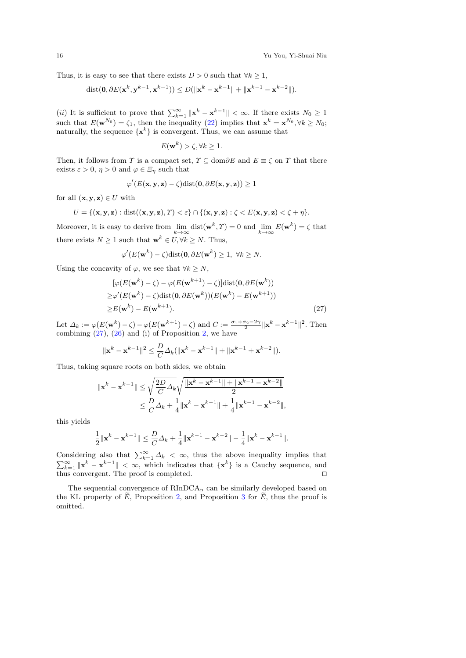Thus, it is easy to see that there exists  $D > 0$  such that  $\forall k \geq 1$ ,

dist
$$
(\mathbf{0}, \partial E(\mathbf{x}^k, \mathbf{y}^{k-1}, \mathbf{x}^{k-1})) \le D(||\mathbf{x}^k - \mathbf{x}^{k-1}|| + ||\mathbf{x}^{k-1} - \mathbf{x}^{k-2}||).
$$

(*ii*) It is sufficient to prove that  $\sum_{k=1}^{\infty} ||x^k - x^{k-1}|| < \infty$ . If there exists  $N_0 \ge 1$ such that  $E(\mathbf{w}^{N_0}) = \zeta_1$ , then the inequality [\(22\)](#page-12-6) implies that  $\mathbf{x}^k = \mathbf{x}^{N_0}, \forall k \ge N_0$ ; naturally, the sequence  $\{x^k\}$  is convergent. Thus, we can assume that

$$
E(\mathbf{w}^k) > \zeta, \forall k \ge 1.
$$

Then, it follows from  $\Upsilon$  is a compact set,  $\Upsilon \subseteq \text{dom}\partial E$  and  $E \equiv \zeta$  on  $\Upsilon$  that there exists  $\varepsilon > 0$ ,  $\eta > 0$  and  $\varphi \in \Xi_{\eta}$  such that

$$
\varphi'(E(\mathbf{x}, \mathbf{y}, \mathbf{z}) - \zeta) \text{dist}(\mathbf{0}, \partial E(\mathbf{x}, \mathbf{y}, \mathbf{z})) \ge 1
$$

for all  $(\mathbf{x}, \mathbf{y}, \mathbf{z}) \in U$  with

$$
U = \{(\mathbf{x}, \mathbf{y}, \mathbf{z}) : \text{dist}((\mathbf{x}, \mathbf{y}, \mathbf{z}), \Upsilon) < \varepsilon\} \cap \{(\mathbf{x}, \mathbf{y}, \mathbf{z}) : \zeta < E(\mathbf{x}, \mathbf{y}, \mathbf{z}) < \zeta + \eta\}.
$$

Moreover, it is easy to derive from  $\lim_{k \to \infty} \text{dist}(\mathbf{w}^k, \mathcal{T}) = 0$  and  $\lim_{k \to \infty} E(\mathbf{w}^k) = \zeta$  that there exists  $N \geq 1$  such that  $\mathbf{w}^k \in U, \forall k \geq N$ . Thus,

<span id="page-15-0"></span>
$$
\varphi'(E(\mathbf{w}^k) - \zeta)\text{dist}(\mathbf{0}, \partial E(\mathbf{w}^k) \ge 1, \ \forall k \ge N.
$$

Using the concavity of  $\varphi$ , we see that  $\forall k \geq N$ ,

$$
[\varphi(E(\mathbf{w}^{k}) - \zeta) - \varphi(E(\mathbf{w}^{k+1}) - \zeta)]\text{dist}(\mathbf{0}, \partial E(\mathbf{w}^{k}))
$$
  
\n
$$
\geq \varphi'(E(\mathbf{w}^{k}) - \zeta)\text{dist}(\mathbf{0}, \partial E(\mathbf{w}^{k})) (E(\mathbf{w}^{k}) - E(\mathbf{w}^{k+1}))
$$
  
\n
$$
\geq E(\mathbf{w}^{k}) - E(\mathbf{w}^{k+1}).
$$
\n(27)

Let  $\Delta_k := \varphi(E(\mathbf{w}^k) - \zeta) - \varphi(E(\mathbf{w}^{k+1}) - \zeta)$  and  $C := \frac{\sigma_1 + \sigma_2 - 2\gamma}{2} ||\mathbf{x}^k - \mathbf{x}^{k-1}||^2$ . Then combining  $(27)$ ,  $(26)$  and (i) of Proposition [2,](#page-11-2) we have

$$
\|\mathbf{x}^{k} - \mathbf{x}^{k-1}\|^2 \leq \frac{D}{C} \Delta_k (\|\mathbf{x}^{k} - \mathbf{x}^{k-1}\| + \|\mathbf{x}^{k-1} + \mathbf{x}^{k-2}\|).
$$

Thus, taking square roots on both sides, we obtain

$$
\|\mathbf{x}^{k} - \mathbf{x}^{k-1}\| \leq \sqrt{\frac{2D}{C}\Delta_k} \sqrt{\frac{\|\mathbf{x}^{k} - \mathbf{x}^{k-1}\| + \|\mathbf{x}^{k-1} - \mathbf{x}^{k-2}\|}{2}}
$$
  

$$
\leq \frac{D}{C}\Delta_k + \frac{1}{4}\|\mathbf{x}^{k} - \mathbf{x}^{k-1}\| + \frac{1}{4}\|\mathbf{x}^{k-1} - \mathbf{x}^{k-2}\|,
$$

this yields

$$
\frac{1}{2}\|\mathbf{x}^k-\mathbf{x}^{k-1}\|\leq \frac{D}{C}\varDelta_k+\frac{1}{4}\|\mathbf{x}^{k-1}-\mathbf{x}^{k-2}\|-\frac{1}{4}\|\mathbf{x}^k-\mathbf{x}^{k-1}\|.
$$

Considering also that  $\sum_{k=1}^{\infty} \Delta_k < \infty$ , thus the above inequality implies that  $\sum_{k=1}^{\infty} ||x^k - x^{k-1}|| < \infty$ , which indicates that  $\{x^k\}$  is a Cauchy sequence, and thus convergent. The proof is completed.  $\square$ 

The sequential convergence of  $RInDCA_n$  can be similarly developed based on the KL property of  $\tilde{E}$ , Proposition [2,](#page-11-2) and Proposition [3](#page-12-1) for  $\tilde{E}$ , thus the proof is omitted.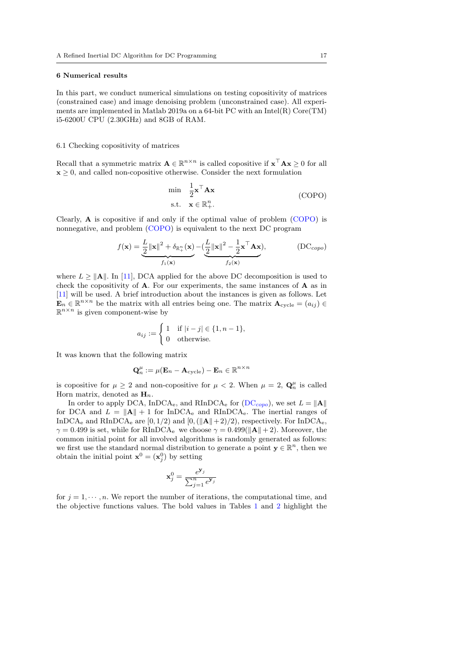### <span id="page-16-0"></span>6 Numerical results

In this part, we conduct numerical simulations on testing copositivity of matrices (constrained case) and image denoising problem (unconstrained case). All experiments are implemented in Matlab 2019a on a 64-bit PC with an Intel(R) Core(TM) i5-6200U CPU (2.30GHz) and 8GB of RAM.

#### 6.1 Checking copositivity of matrices

Recall that a symmetric matrix  $\mathbf{A} \in \mathbb{R}^{n \times n}$  is called copositive if  $\mathbf{x}^\top \mathbf{A} \mathbf{x} \geq 0$  for all  $x \geq 0$ , and called non-copositive otherwise. Consider the next formulation

<span id="page-16-2"></span><span id="page-16-1"></span>
$$
\min_{\mathbf{z}} \quad \frac{1}{2} \mathbf{x}^{\top} \mathbf{A} \mathbf{x}
$$
\n
$$
\text{s.t.} \quad \mathbf{x} \in \mathbb{R}_{+}^{n}.\tag{COPO}
$$

<span id="page-16-3"></span>Clearly, A is copositive if and only if the optimal value of problem [\(COPO\)](#page-16-1) is nonnegative, and problem [\(COPO\)](#page-16-1) is equivalent to the next DC program

$$
f(\mathbf{x}) = \underbrace{\frac{L}{2} ||\mathbf{x}||^2 + \delta_{\mathbb{R}_+^n}(\mathbf{x})}_{f_1(\mathbf{x})} - \underbrace{(\frac{L}{2} ||\mathbf{x}||^2 - \frac{1}{2}\mathbf{x}^\top \mathbf{A} \mathbf{x})}_{f_2(\mathbf{x})},
$$
 (DC<sub>copo</sub>)

where  $L \ge ||\mathbf{A}||$ . In [\[11\]](#page-22-13), DCA applied for the above DC decomposition is used to check the copositivity of A. For our experiments, the same instances of A as in [\[11\]](#page-22-13) will be used. A brief introduction about the instances is given as follows. Let  $\mathbf{E}_n \in \mathbb{R}^{n \times n}$  be the matrix with all entries being one. The matrix  $\mathbf{A}_{\text{cycle}} = (a_{ij}) \in$  $\mathbb{R}^{n \times n}$  is given component-wise by

$$
a_{ij} := \begin{cases} 1 & \text{if } |i - j| \in \{1, n - 1\}, \\ 0 & \text{otherwise.} \end{cases}
$$

It was known that the following matrix

$$
\mathbf{Q}_n^{\mu} := \mu(\mathbf{E}_n - \mathbf{A}_{\text{cycle}}) - \mathbf{E}_n \in \mathbb{R}^{n \times n}
$$

is copositive for  $\mu \geq 2$  and non-copositive for  $\mu < 2$ . When  $\mu = 2$ ,  $\mathbf{Q}_n^{\mu}$  is called Horn matrix, denoted as  $\mathbf{H}_n$ .

In order to apply DCA, InDCA<sub>e</sub>, and RInDCA<sub>e</sub> for [\(DC](#page-16-2)<sub>copo</sub>), we set  $L = ||\mathbf{A}||$ for DCA and  $L = ||\mathbf{A}|| + 1$  for InDCA<sub>e</sub> and RInDCA<sub>e</sub>. The inertial ranges of InDCA<sub>e</sub> and RInDCA<sub>e</sub> are [0, 1/2) and [0, ( $\|\mathbf{A}\|$ +2)/2), respectively. For InDCA<sub>e</sub>,  $\gamma = 0.499$  is set, while for RInDCA<sub>e</sub> we choose  $\gamma = 0.499(||\mathbf{A}|| + 2)$ . Moreover, the common initial point for all involved algorithms is randomly generated as follows: we first use the standard normal distribution to generate a point  $y \in \mathbb{R}^n$ , then we obtain the initial point  $\mathbf{x}^0 = (\mathbf{x}_j^0)$  by setting

$$
\mathbf{x}_j^0 = \frac{e^{\mathbf{y}_j}}{\sum_{j=1}^n e^{\mathbf{y}_j}}
$$

for  $j = 1, \dots, n$ . We report the number of iterations, the computational time, and the objective functions values. The bold values in Tables [1](#page-17-0) and [2](#page-17-1) highlight the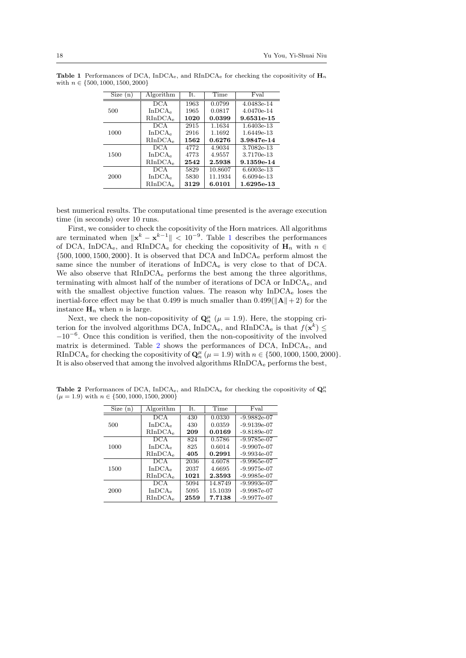<span id="page-17-0"></span>

| Size (n) | Algorithm           | It.  | Time    | Fval       |
|----------|---------------------|------|---------|------------|
|          | <b>DCA</b>          | 1963 | 0.0799  | 4.0483e-14 |
| 500      | In DCA <sub>e</sub> | 1965 | 0.0817  | 4.0470e-14 |
|          | RInDCA <sub>e</sub> | 1020 | 0.0399  | 9.6531e-15 |
|          | DCA                 | 2915 | 1.1634  | 1.6403e-13 |
| 1000     | In DCA <sub>e</sub> | 2916 | 1.1692  | 1.6449e-13 |
|          | RInDCA <sub>e</sub> | 1562 | 0.6276  | 3.9847e-14 |
|          | DCA.                | 4772 | 4.9034  | 3.7082e-13 |
| 1500     | In DCA <sub>e</sub> | 4773 | 4.9557  | 3.7170e-13 |
|          | RInDCA <sub>e</sub> | 2542 | 2.5938  | 9.1359e-14 |
|          | <b>DCA</b>          | 5829 | 10.8607 | 6.6003e-13 |
| 2000     | In DCA <sub>e</sub> | 5830 | 11.1934 | 6.6094e-13 |
|          | RInDCA <sub>e</sub> | 3129 | 6.0101  | 1.6295e-13 |

**Table 1** Performances of DCA,  $InDCA<sub>e</sub>$ , and  $RInDCA<sub>e</sub>$  for checking the copositivity of  $H<sub>n</sub>$ with  $n \in \{500, 1000, 1500, 2000\}$ 

best numerical results. The computational time presented is the average execution time (in seconds) over 10 runs.

First, we consider to check the copositivity of the Horn matrices. All algorithms are terminated when  $\|\mathbf{x}^k - \mathbf{x}^{k-1}\| < 10^{-9}$  $\|\mathbf{x}^k - \mathbf{x}^{k-1}\| < 10^{-9}$  $\|\mathbf{x}^k - \mathbf{x}^{k-1}\| < 10^{-9}$ . Table 1 describes the performances of DCA, InDCA<sub>e</sub>, and RInDCA<sub>e</sub> for checking the copositivity of  $H_n$  with  $n \in$ {500, 1000, 1500, 2000}. It is observed that DCA and InDCA<sup>e</sup> perform almost the same since the number of iterations of InDCA<sup>e</sup> is very close to that of DCA. We also observe that RInDCA<sub>e</sub> performs the best among the three algorithms, terminating with almost half of the number of iterations of DCA or InDCAe, and with the smallest objective function values. The reason why InDCA<sub>e</sub> loses the inertial-force effect may be that 0.499 is much smaller than  $0.499(||\mathbf{A}|| + 2)$  for the instance  $H_n$  when n is large.

Next, we check the non-copositivity of  $\mathbf{Q}_n^{\mu}$  ( $\mu = 1.9$ ). Here, the stopping criterion for the involved algorithms DCA, InDCA<sub>e</sub>, and RInDCA<sub>e</sub> is that  $f(\mathbf{x}^k) \leq$ −10−<sup>6</sup> . Once this condition is verified, then the non-copositivity of the involved matrix is determined. Table [2](#page-17-1) shows the performances of DCA, InDCAe, and RInDCA<sub>e</sub> for checking the copositivity of  $\mathbf{Q}_n^{\mu}$  ( $\mu = 1.9$ ) with  $n \in \{500, 1000, 1500, 2000\}$ . It is also observed that among the involved algorithms RInDCA<sup>e</sup> performs the best,

<span id="page-17-1"></span>

| Size(n) | Algorithm           | It.  | Time    | Fval          |
|---------|---------------------|------|---------|---------------|
|         | DCA                 | 430  | 0.0330  | $-9.9882e-07$ |
| 500     | In DCA <sub>e</sub> | 430  | 0.0359  | $-9.9139e-07$ |
|         | RInDCA <sub>e</sub> | 209  | 0.0169  | $-9.8189e-07$ |
|         | DCA                 | 824  | 0.5786  | $-9.9785e-07$ |
| 1000    | InDCA <sub>e</sub>  | 825  | 0.6014  | $-9.9907e-07$ |
|         | RInDCA <sub>e</sub> | 405  | 0.2991  | $-9.9934e-07$ |
|         | DCA                 | 2036 | 4.6078  | $-9.9965e-07$ |
| 1500    | In DCA <sub>e</sub> | 2037 | 4.6695  | $-9.9975e-07$ |
|         | RInDCA <sub>e</sub> | 1021 | 2.3593  | $-9.9985e-07$ |
|         | <b>DCA</b>          | 5094 | 14.8749 | $-9.9993e-07$ |
| 2000    | In DCA <sub>e</sub> | 5095 | 15.1039 | $-9.9987e-07$ |
|         | RInDCA <sub>e</sub> | 2559 | 7.7138  | $-9.9977e-07$ |

**Table 2** Performances of DCA, InDCA<sub>e</sub>, and RInDCA<sub>e</sub> for checking the copositivity of  $Q_n^{\mu}$  $(\mu = 1.9)$  with  $n \in \{500, 1000, 1500, 2000\}$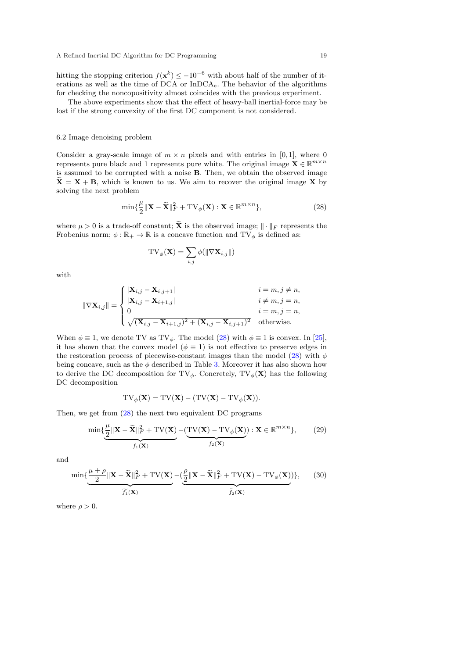hitting the stopping criterion  $f(\mathbf{x}^k) \leq -10^{-6}$  with about half of the number of iterations as well as the time of DCA or InDCAe. The behavior of the algorithms for checking the noncopositivity almost coincides with the previous experiment.

The above experiments show that the effect of heavy-ball inertial-force may be lost if the strong convexity of the first DC component is not considered.

### 6.2 Image denoising problem

Consider a gray-scale image of  $m \times n$  pixels and with entries in [0, 1], where 0 represents pure black and 1 represents pure white. The original image  $\mathbf{X} \in \mathbb{R}^{m \times n}$ is assumed to be corrupted with a noise B. Then, we obtain the observed image  $\mathbf{X} = \mathbf{X} + \mathbf{B}$ , which is known to us. We aim to recover the original image X by solving the next problem

$$
\min\{\frac{\mu}{2} \|\mathbf{X} - \widetilde{\mathbf{X}}\|_F^2 + \text{TV}_{\phi}(\mathbf{X}) : \mathbf{X} \in \mathbb{R}^{m \times n}\},\tag{28}
$$

where  $\mu > 0$  is a trade-off constant;  $\widetilde{\mathbf{X}}$  is the observed image;  $\|\cdot\|_F$  represents the Frobenius norm;  $\phi:\mathbb{R}_+\to\mathbb{R}$  is a concave function and  $\mathrm{TV}_\phi$  is defined as:

$$
\mathrm{TV}_{\phi}(\mathbf{X}) = \sum_{i,j} \phi(\|\nabla \mathbf{X}_{i,j}\|)
$$

with

$$
\|\nabla \mathbf{X}_{i,j}\| = \begin{cases} |\mathbf{X}_{i,j} - \mathbf{X}_{i,j+1}| & i = m, j \neq n, \\ |\mathbf{X}_{i,j} - \mathbf{X}_{i+1,j}| & i \neq m, j = n, \\ 0 & i = m, j = n, \\ \sqrt{(\mathbf{X}_{i,j} - \mathbf{X}_{i+1,j})^2 + (\mathbf{X}_{i,j} - \mathbf{X}_{i,j+1})^2} & \text{otherwise.} \end{cases}
$$

When  $\phi \equiv 1$ , we denote TV as TV<sub> $\phi$ </sub>. The model [\(28\)](#page-16-3) with  $\phi \equiv 1$  is convex. In [\[25\]](#page-23-15), it has shown that the convex model ( $\phi \equiv 1$ ) is not effective to preserve edges in the restoration process of piecewise-constant images than the model [\(28\)](#page-16-3) with  $\phi$ being concave, such as the  $\phi$  described in Table [3.](#page-19-0) Moreover it has also shown how to derive the DC decomposition for  $TV_{\phi}$ . Concretely,  $TV_{\phi}(\mathbf{X})$  has the following DC decomposition

$$
TV_{\phi}(\mathbf{X}) = TV(\mathbf{X}) - (TV(\mathbf{X}) - TV_{\phi}(\mathbf{X})).
$$

Then, we get from [\(28\)](#page-16-3) the next two equivalent DC programs

<span id="page-18-0"></span>
$$
\min\{\underbrace{\frac{\mu}{2} \|\mathbf{X} - \widetilde{\mathbf{X}}\|_{F}^{2} + \text{TV}(\mathbf{X})}_{f_{1}(\mathbf{X})} - \underbrace{(\text{TV}(\mathbf{X}) - \text{TV}_{\phi}(\mathbf{X}))}_{f_{2}(\mathbf{X})} : \mathbf{X} \in \mathbb{R}^{m \times n}\},\tag{29}
$$

and

<span id="page-18-1"></span>
$$
\min \{\underbrace{\frac{\mu+\rho}{2} \|\mathbf{X}-\widetilde{\mathbf{X}}\|_F^2 + \text{TV}(\mathbf{X})}_{\widetilde{f_1}(\mathbf{X})} - \big(\underbrace{\frac{\rho}{2} \|\mathbf{X}-\widetilde{\mathbf{X}}\|_F^2 + \text{TV}(\mathbf{X}) - \text{TV}_{\phi}(\mathbf{X})}_{\widetilde{f_2}(\mathbf{X})}\big)\},\tag{30}
$$

where  $\rho > 0$ .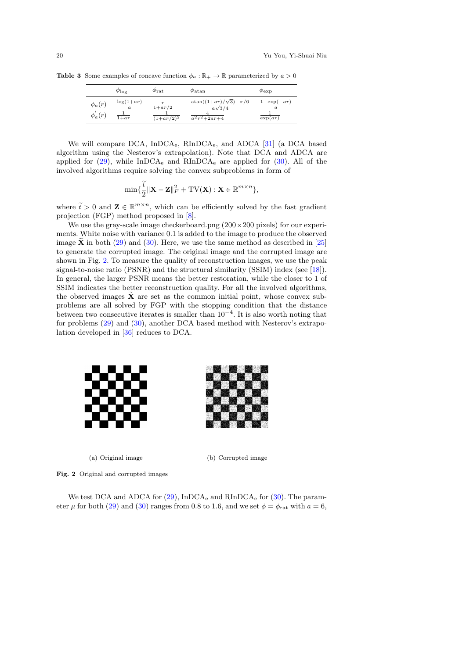<span id="page-19-0"></span>

|                             | $\varphi_{\log}$                                      | $\varphi_{\rm rat}$                         | $\varphi_{\rm atan}$                                             | $\varphi_{\rm exp}$                             |
|-----------------------------|-------------------------------------------------------|---------------------------------------------|------------------------------------------------------------------|-------------------------------------------------|
| $\phi_a(r)$<br>$\phi_a'(r)$ | $\log(1+ar)$<br>$\boldsymbol{a}$<br>$\overline{1+ar}$ | $\frac{1+ar}{2}$<br>$(1+a\overline{r/2})^2$ | $atan((1+ar)/\sqrt{3})-\pi/6$<br>$a\sqrt{3}/4$<br>$a^2r^2+2ar+4$ | $1-\exp(-ar)$<br>$\boldsymbol{a}$<br>$\exp(ar)$ |

**Table 3** Some examples of concave function  $\phi_a : \mathbb{R}_+ \to \mathbb{R}$  parameterized by  $a > 0$ 

We will compare DCA, InDCAe, RInDCAe, and ADCA [\[31\]](#page-23-16) (a DCA based algorithm using the Nesterov's extrapolation). Note that DCA and ADCA are applied for  $(29)$ , while InDCA<sub>e</sub> and RInDCA<sub>e</sub> are applied for  $(30)$ . All of the involved algorithms require solving the convex subproblems in form of

$$
\min\{\frac{t}{2}\|\mathbf{X}-\mathbf{Z}\|_F^2+\mathrm{TV}(\mathbf{X}): \mathbf{X}\in\mathbb{R}^{m\times n}\},
$$

where  $\widetilde{t} > 0$  and  $\mathbf{Z} \in \mathbb{R}^{m \times n}$ , which can be efficiently solved by the fast gradient projection (FGP) method proposed in [\[8\]](#page-22-14).

We use the gray-scale image checkerboard.png  $(200 \times 200 \text{ pixels})$  for our experiments. White noise with variance 0.1 is added to the image to produce the observed image  $\hat{\mathbf{X}}$  in both [\(29\)](#page-18-0) and [\(30\)](#page-18-1). Here, we use the same method as described in [\[25\]](#page-23-15) to generate the corrupted image. The original image and the corrupted image are shown in Fig. [2.](#page-19-1) To measure the quality of reconstruction images, we use the peak signal-to-noise ratio (PSNR) and the structural similarity (SSIM) index (see [\[18\]](#page-23-22)). In general, the larger PSNR means the better restoration, while the closer to 1 of SSIM indicates the better reconstruction quality. For all the involved algorithms, the observed images  $\tilde{\mathbf{X}}$  are set as the common initial point, whose convex subproblems are all solved by FGP with the stopping condition that the distance between two consecutive iterates is smaller than  $10^{-4}$ . It is also worth noting that for problems [\(29\)](#page-18-0) and [\(30\)](#page-18-1), another DCA based method with Nesterov's extrapolation developed in [\[36\]](#page-23-17) reduces to DCA.



<span id="page-19-1"></span>(a) Original image (b) Corrupted image

Fig. 2 Original and corrupted images

We test DCA and ADCA for  $(29)$ , InDCA<sub>e</sub> and RInDCA<sub>e</sub> for  $(30)$ . The parameter  $\mu$  for both [\(29\)](#page-18-0) and [\(30\)](#page-18-1) ranges from 0.8 to 1.6, and we set  $\phi = \phi_{rat}$  with  $a = 6$ ,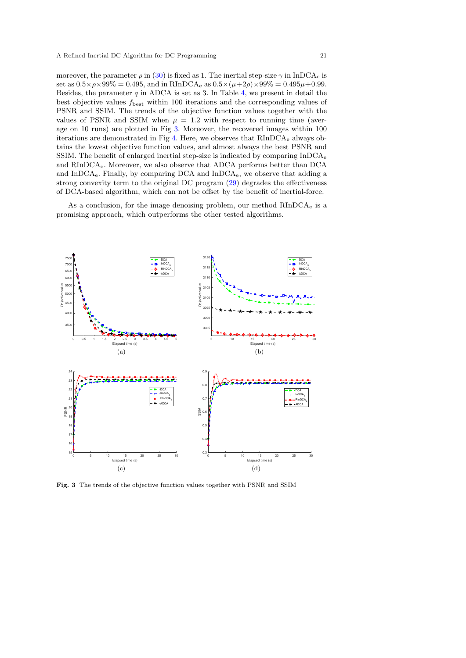moreover, the parameter  $\rho$  in [\(30\)](#page-18-1) is fixed as 1. The inertial step-size  $\gamma$  in InDCA<sub>e</sub> is set as  $0.5 \times \rho \times 99\% = 0.495$ , and in RInDCA<sub>e</sub> as  $0.5 \times (\mu + 2\rho) \times 99\% = 0.495\mu + 0.99$ . Besides, the parameter  $q$  in ADCA is set as 3. In Table [4,](#page-21-0) we present in detail the best objective values  $f_{\text{best}}$  within 100 iterations and the corresponding values of PSNR and SSIM. The trends of the objective function values together with the values of PSNR and SSIM when  $\mu = 1.2$  with respect to running time (average on 10 runs) are plotted in Fig [3.](#page-20-0) Moreover, the recovered images within 100 iterations are demonstrated in Fig  $4$ . Here, we observes that  $RInDCA<sub>e</sub>$  always obtains the lowest objective function values, and almost always the best PSNR and SSIM. The benefit of enlarged inertial step-size is indicated by comparing  $InDCA<sub>e</sub>$ and RInDCAe. Moreover, we also observe that ADCA performs better than DCA and InDCAe. Finally, by comparing DCA and InDCAe, we observe that adding a strong convexity term to the original DC program [\(29\)](#page-18-0) degrades the effectiveness of DCA-based algorithm, which can not be offset by the benefit of inertial-force.

As a conclusion, for the image denoising problem, our method  $RInDCA<sub>e</sub>$  is a promising approach, which outperforms the other tested algorithms.



<span id="page-20-0"></span>Fig. 3 The trends of the objective function values together with PSNR and SSIM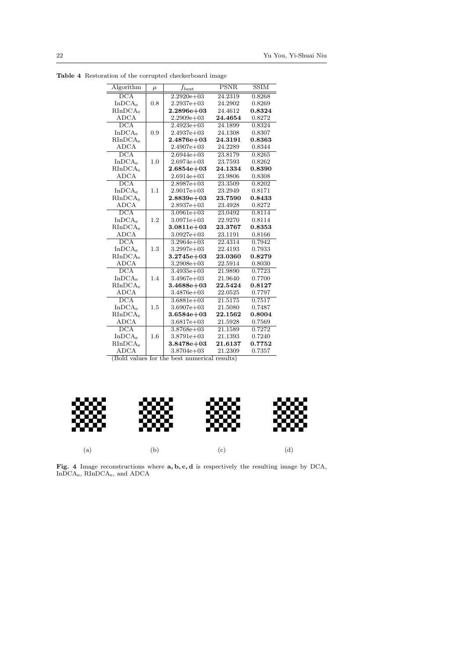<span id="page-21-0"></span>

| Algorithm                 | $\mu$ | $f_{\rm best}$   | <b>PSNR</b> | <b>SSIM</b> |
|---------------------------|-------|------------------|-------------|-------------|
| $\overline{DCA}$          |       | $2.2920e + 03$   | 24.2319     | 0.8268      |
| In DCA <sub>e</sub>       | 0.8   | $2.2937e+03$     | 24.2902     | 0.8269      |
| RInDCA <sub>e</sub>       |       | $2.2896 \in +03$ | 24.4612     | 0.8324      |
| <b>ADCA</b>               |       | $2.2909e + 03$   | 24.4654     | 0.8272      |
| $\overline{\mathrm{DCA}}$ |       | $2.4923e + 03$   | 24.1899     | 0.8324      |
| In DCA <sub>e</sub>       | 0.9   | $2.4937e + 03$   | 24.1308     | 0.8307      |
| RInDCA <sub>e</sub>       |       | $2.4876e+03$     | 24.3191     | 0.8363      |
| <b>ADCA</b>               |       | $2.4907e + 03$   | 24.2289     | 0.8344      |
| $\overline{\mathrm{DCA}}$ |       | $2.6944e + 03$   | 23.8179     | 0.8265      |
| In DCA <sub>e</sub>       | 1.0   | $2.6974e + 03$   | 23.7593     | 0.8262      |
| RInDCA <sub>e</sub>       |       | $2.6854e + 03$   | 24.1334     | 0.8390      |
| <b>ADCA</b>               |       | $2.6914e + 03$   | 23.9806     | 0.8308      |
| $\overline{DCA}$          |       | $2.8987e + 03$   | 23.3509     | 0.8202      |
| In DCA <sub>e</sub>       | 1.1   | $2.9017e + 03$   | 23.2949     | 0.8171      |
| RInDCA <sub>e</sub>       |       | $2.8839e+03$     | 23.7590     | 0.8433      |
| <b>ADCA</b>               |       | $2.8937e+03$     | 23.4928     | 0.8272      |
| $\overline{\mathrm{DCA}}$ |       | $3.0961e + 03$   | 23.0492     | 0.8114      |
| In DCA <sub>e</sub>       | 1.2   | $3.0971e + 03$   | 22.9270     | 0.8114      |
| RInDCA <sub>e</sub>       |       | $3.0811e + 03$   | 23.3767     | 0.8353      |
| <b>ADCA</b>               |       | $3.0927e + 03$   | 23.1191     | 0.8166      |
| $\overline{DCA}$          |       | $3.2964e + 03$   | 22.4314     | 0.7942      |
| InDCA <sub>e</sub>        | 1.3   | $3.2997e + 03$   | 22.4193     | 0.7933      |
| RInDCA <sub>e</sub>       |       | $3.2745e + 03$   | 23.0360     | 0.8279      |
| <b>ADCA</b>               |       | $3.2908e + 03$   | 22.5914     | 0.8030      |
| DCA                       |       | $3.4935e + 03$   | 21.9890     | 0.7723      |
| In DCA <sub>e</sub>       | 1.4   | $3.4967e + 03$   | 21.9640     | 0.7700      |
| RInDCA <sub>e</sub>       |       | $3.4688e + 03$   | 22.5424     | 0.8127      |
| <b>ADCA</b>               |       | $3.4876e + 03$   | 22.0525     | 0.7797      |
| $\overline{DCA}$          |       | $3.6881e + 03$   | 21.5175     | 0.7517      |
| In DCA <sub>e</sub>       | 1.5   | $3.6907e + 03$   | 21.5080     | 0.7487      |
| RInDCA <sub>e</sub>       |       | $3.6584e + 03$   | 22.1562     | 0.8004      |
| ADCA                      |       | $3.6817e + 03$   | 21.5928     | 0.7569      |
| $\overline{DCA}$          |       | $3.8768e + 03$   | 21.1589     | 0.7272      |
| In DCA <sub>e</sub>       | 1.6   | $3.8791e + 03$   | 21.1393     | 0.7240      |
| RInDCA <sub>e</sub>       |       | $3.8478e + 03$   | 21.6137     | 0.7752      |
| <b>ADCA</b>               |       | $3.8704e + 03$   | 21.2309     | 0.7357      |

Table 4 Restoration of the corrupted checkerboard image

(Bold values for the best numerical results)



<span id="page-21-1"></span>Fig. 4 Image reconstructions where  $a, b, c, d$  is respectively the resulting image by DCA, InDCAe, RInDCAe, and ADCA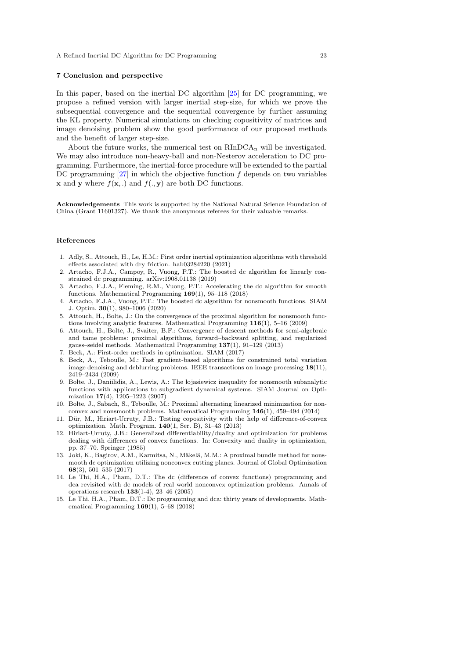### 7 Conclusion and perspective

In this paper, based on the inertial DC algorithm [\[25\]](#page-23-15) for DC programming, we propose a refined version with larger inertial step-size, for which we prove the subsequential convergence and the sequential convergence by further assuming the KL property. Numerical simulations on checking copositivity of matrices and image denoising problem show the good performance of our proposed methods and the benefit of larger step-size.

About the future works, the numerical test on  $\rm RInDCA_n$  will be investigated. We may also introduce non-heavy-ball and non-Nesterov acceleration to DC programming. Furthermore, the inertial-force procedure will be extended to the partial DC programming  $[27]$  in which the objective function  $f$  depends on two variables **x** and **y** where  $f(\mathbf{x},.)$  and  $f(., \mathbf{y})$  are both DC functions.

Acknowledgements This work is supported by the National Natural Science Foundation of China (Grant 11601327). We thank the anonymous referees for their valuable remarks.

### References

- <span id="page-22-7"></span>1. Adly, S., Attouch, H., Le, H.M.: First order inertial optimization algorithms with threshold effects associated with dry friction. hal:03284220 (2021)
- <span id="page-22-6"></span>2. Artacho, F.J.A., Campoy, R., Vuong, P.T.: The boosted dc algorithm for linearly constrained dc programming. arXiv:1908.01138 (2019)
- <span id="page-22-4"></span>3. Artacho, F.J.A., Fleming, R.M., Vuong, P.T.: Accelerating the dc algorithm for smooth functions. Mathematical Programming 169(1), 95–118 (2018)
- <span id="page-22-5"></span>4. Artacho, F.J.A., Vuong, P.T.: The boosted dc algorithm for nonsmooth functions. SIAM J. Optim. 30(1), 980–1006 (2020)
- <span id="page-22-9"></span>5. Attouch, H., Bolte, J.: On the convergence of the proximal algorithm for nonsmooth functions involving analytic features. Mathematical Programming 116(1), 5–16 (2009)
- <span id="page-22-10"></span>6. Attouch, H., Bolte, J., Svaiter, B.F.: Convergence of descent methods for semi-algebraic and tame problems: proximal algorithms, forward–backward splitting, and regularized gauss–seidel methods. Mathematical Programming 137(1), 91–129 (2013)
- <span id="page-22-12"></span>7. Beck, A.: First-order methods in optimization. SIAM (2017)
- <span id="page-22-14"></span>8. Beck, A., Teboulle, M.: Fast gradient-based algorithms for constrained total variation image denoising and deblurring problems. IEEE transactions on image processing 18(11), 2419–2434 (2009)
- <span id="page-22-8"></span>9. Bolte, J., Daniilidis, A., Lewis, A.: The lojasiewicz inequality for nonsmooth subanalytic functions with applications to subgradient dynamical systems. SIAM Journal on Optimization 17(4), 1205–1223 (2007)
- <span id="page-22-11"></span>10. Bolte, J., Sabach, S., Teboulle, M.: Proximal alternating linearized minimization for nonconvex and nonsmooth problems. Mathematical Programming 146(1), 459–494 (2014)
- <span id="page-22-13"></span>11. Dür, M., Hiriart-Urruty, J.B.: Testing copositivity with the help of difference-of-convex optimization. Math. Program. 140(1, Ser. B), 31–43 (2013)
- <span id="page-22-0"></span>12. Hiriart-Urruty, J.B.: Generalized differentiability/duality and optimization for problems dealing with differences of convex functions. In: Convexity and duality in optimization, pp. 37–70. Springer (1985)
- <span id="page-22-3"></span>13. Joki, K., Bagirov, A.M., Karmitsa, N., Mäkelä, M.M.: A proximal bundle method for nonsmooth dc optimization utilizing nonconvex cutting planes. Journal of Global Optimization 68(3), 501–535 (2017)
- <span id="page-22-1"></span>14. Le Thi, H.A., Pham, D.T.: The dc (difference of convex functions) programming and dca revisited with dc models of real world nonconvex optimization problems. Annals of operations research 133(1-4), 23–46 (2005)
- <span id="page-22-2"></span>15. Le Thi, H.A., Pham, D.T.: Dc programming and dca: thirty years of developments. Mathematical Programming 169(1), 5–68 (2018)